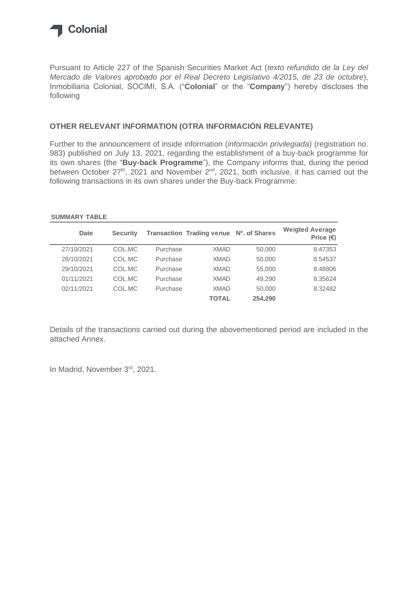

Pursuant to Article 227 of the Spanish Securities Market Act (*texto refundido de la Ley del Mercado de Valores aprobado por el Real Decreto Legislativo 4/2015, de 23 de octubre*), Inmobiliaria Colonial, SOCIMI, S.A. ("**Colonial**" or the "**Company**") hereby discloses the following

#### **OTHER RELEVANT INFORMATION (OTRA INFORMACIÓN RELEVANTE)**

Further to the announcement of inside information (*información privilegiada*) (registration no. 983) published on July 13, 2021, regarding the establishment of a buy-back programme for its own shares (the "**Buy-back Programme**"), the Company informs that, during the period between October 27<sup>th</sup>, 2021 and November 2<sup>nd</sup>, 2021, both inclusive, it has carried out the following transactions in its own shares under the Buy-back Programme:

#### **SUMMARY TABLE**

| Date       | <b>Security</b> |          | Transaction Trading venue Nº. of Shares |         | <b>Weigted Average</b><br>Price $(\epsilon)$ |
|------------|-----------------|----------|-----------------------------------------|---------|----------------------------------------------|
| 27/10/2021 | COL.MC          | Purchase | <b>XMAD</b>                             | 50,000  | 8.47353                                      |
| 28/10/2021 | COL.MC          | Purchase | <b>XMAD</b>                             | 50,000  | 8.54537                                      |
| 29/10/2021 | COL.MC          | Purchase | <b>XMAD</b>                             | 55,000  | 8,48806                                      |
| 01/11/2021 | COL MC          | Purchase | <b>XMAD</b>                             | 49,290  | 8.35624                                      |
| 02/11/2021 | COL.MC          | Purchase | <b>XMAD</b>                             | 50,000  | 8.32482                                      |
|            |                 |          | <b>TOTAL</b>                            | 254.290 |                                              |

Details of the transactions carried out during the abovementioned period are included in the attached Annex.

In Madrid, November 3rd, 2021.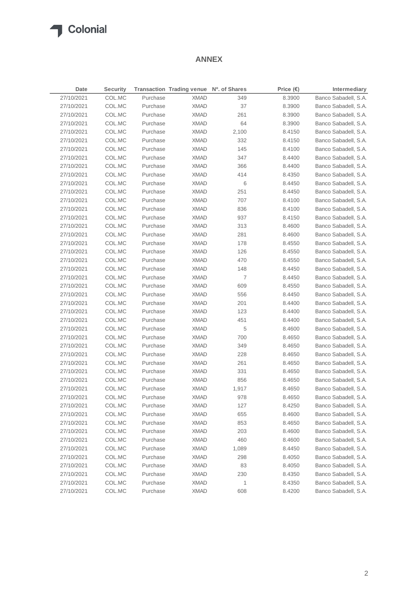# **T** Colonial

#### **ANNEX**

| Date       | <b>Security</b> |          | Transaction Trading venue Nº. of Shares |            | Price $(\epsilon)$ | Intermediary         |
|------------|-----------------|----------|-----------------------------------------|------------|--------------------|----------------------|
| 27/10/2021 | COL.MC          | Purchase | <b>XMAD</b>                             | 349        | 8.3900             | Banco Sabadell, S.A. |
| 27/10/2021 | COL.MC          | Purchase | <b>XMAD</b>                             | 37         | 8.3900             | Banco Sabadell, S.A. |
| 27/10/2021 | COL.MC          | Purchase | <b>XMAD</b>                             | 261        | 8.3900             | Banco Sabadell, S.A. |
| 27/10/2021 | COL.MC          | Purchase | <b>XMAD</b>                             | 64         | 8.3900             | Banco Sabadell, S.A. |
| 27/10/2021 | COL.MC          | Purchase | <b>XMAD</b>                             | 2,100      | 8.4150             | Banco Sabadell, S.A. |
| 27/10/2021 | COL.MC          | Purchase | <b>XMAD</b>                             | 332        | 8.4150             | Banco Sabadell, S.A. |
| 27/10/2021 | COL.MC          | Purchase | <b>XMAD</b>                             | 145        | 8.4100             | Banco Sabadell, S.A. |
| 27/10/2021 | COL.MC          | Purchase | <b>XMAD</b>                             | 347        | 8.4400             | Banco Sabadell, S.A. |
| 27/10/2021 | COL.MC          | Purchase | <b>XMAD</b>                             | 366        | 8.4400             | Banco Sabadell, S.A. |
| 27/10/2021 | COL.MC          | Purchase | <b>XMAD</b>                             | 414        | 8.4350             | Banco Sabadell, S.A. |
| 27/10/2021 | COL.MC          | Purchase | <b>XMAD</b>                             | 6          | 8.4450             | Banco Sabadell, S.A. |
| 27/10/2021 | COL.MC          | Purchase | <b>XMAD</b>                             | 251        | 8.4450             | Banco Sabadell, S.A. |
| 27/10/2021 | COL.MC          | Purchase | <b>XMAD</b>                             | 707        | 8.4100             | Banco Sabadell, S.A. |
| 27/10/2021 | COL.MC          | Purchase | <b>XMAD</b>                             | 836        | 8.4100             | Banco Sabadell, S.A. |
| 27/10/2021 | COL.MC          | Purchase | <b>XMAD</b>                             | 937        | 8.4150             | Banco Sabadell, S.A. |
| 27/10/2021 | COL.MC          | Purchase | <b>XMAD</b>                             | 313        | 8.4600             | Banco Sabadell, S.A. |
| 27/10/2021 | COL.MC          | Purchase | <b>XMAD</b>                             | 281        | 8.4600             | Banco Sabadell, S.A. |
| 27/10/2021 | COL.MC          | Purchase | <b>XMAD</b>                             | 178        | 8.4550             | Banco Sabadell, S.A. |
| 27/10/2021 | COL.MC          | Purchase | <b>XMAD</b>                             | 126        | 8.4550             | Banco Sabadell, S.A. |
| 27/10/2021 | COL.MC          | Purchase | <b>XMAD</b>                             | 470        | 8.4550             | Banco Sabadell, S.A. |
| 27/10/2021 | COL.MC          | Purchase | <b>XMAD</b>                             | 148        | 8.4450             | Banco Sabadell, S.A. |
| 27/10/2021 | COL.MC          | Purchase | <b>XMAD</b>                             | 7          | 8.4450             | Banco Sabadell, S.A. |
| 27/10/2021 | COL.MC          | Purchase | <b>XMAD</b>                             | 609        | 8.4550             | Banco Sabadell, S.A. |
|            |                 |          |                                         |            |                    |                      |
| 27/10/2021 | COL.MC          | Purchase | <b>XMAD</b>                             | 556        | 8.4450             | Banco Sabadell, S.A. |
| 27/10/2021 | COL.MC          | Purchase | <b>XMAD</b>                             | 201        | 8.4400             | Banco Sabadell, S.A. |
| 27/10/2021 | COL.MC          | Purchase | <b>XMAD</b><br><b>XMAD</b>              | 123<br>451 | 8.4400             | Banco Sabadell, S.A. |
| 27/10/2021 | COL.MC          | Purchase |                                         |            | 8.4400             | Banco Sabadell, S.A. |
| 27/10/2021 | COL.MC          | Purchase | <b>XMAD</b>                             | 5          | 8.4600             | Banco Sabadell, S.A. |
| 27/10/2021 | COL.MC          | Purchase | <b>XMAD</b>                             | 700        | 8.4650             | Banco Sabadell, S.A. |
| 27/10/2021 | COL.MC          | Purchase | <b>XMAD</b>                             | 349        | 8.4650             | Banco Sabadell, S.A. |
| 27/10/2021 | COL.MC          | Purchase | <b>XMAD</b>                             | 228        | 8.4650             | Banco Sabadell, S.A. |
| 27/10/2021 | COL.MC          | Purchase | <b>XMAD</b>                             | 261        | 8.4650             | Banco Sabadell, S.A. |
| 27/10/2021 | COL.MC          | Purchase | <b>XMAD</b>                             | 331        | 8.4650             | Banco Sabadell, S.A. |
| 27/10/2021 | COL.MC          | Purchase | <b>XMAD</b>                             | 856        | 8.4650             | Banco Sabadell, S.A. |
| 27/10/2021 | COL.MC          | Purchase | <b>XMAD</b>                             | 1,917      | 8.4650             | Banco Sabadell, S.A. |
| 27/10/2021 | COL.MC          | Purchase | <b>XMAD</b>                             | 978        | 8.4650             | Banco Sabadell, S.A. |
| 27/10/2021 | COL.MC          | Purchase | <b>XMAD</b>                             | 127        | 8.4250             | Banco Sabadell, S.A. |
| 27/10/2021 | COL.MC          | Purchase | <b>XMAD</b>                             | 655        | 8.4600             | Banco Sabadell, S.A. |
| 27/10/2021 | COL.MC          | Purchase | <b>XMAD</b>                             | 853        | 8.4650             | Banco Sabadell, S.A. |
| 27/10/2021 | COL.MC          | Purchase | <b>XMAD</b>                             | 203        | 8.4600             | Banco Sabadell, S.A. |
| 27/10/2021 | COL.MC          | Purchase | <b>XMAD</b>                             | 460        | 8.4600             | Banco Sabadell, S.A. |
| 27/10/2021 | COL.MC          | Purchase | <b>XMAD</b>                             | 1,089      | 8.4450             | Banco Sabadell, S.A. |
| 27/10/2021 | COL.MC          | Purchase | <b>XMAD</b>                             | 298        | 8.4050             | Banco Sabadell, S.A. |
| 27/10/2021 | COL.MC          | Purchase | <b>XMAD</b>                             | 83         | 8.4050             | Banco Sabadell, S.A. |
| 27/10/2021 | COL.MC          | Purchase | <b>XMAD</b>                             | 230        | 8.4350             | Banco Sabadell, S.A. |
| 27/10/2021 | COL.MC          | Purchase | <b>XMAD</b>                             | 1          | 8.4350             | Banco Sabadell, S.A. |
| 27/10/2021 | COL.MC          | Purchase | <b>XMAD</b>                             | 608        | 8.4200             | Banco Sabadell, S.A. |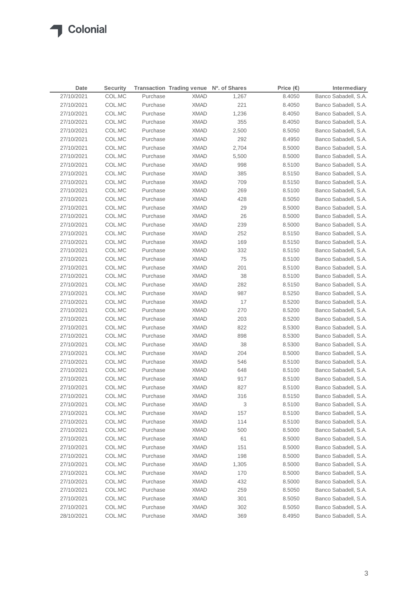| Date       | <b>Security</b> |          | Transaction Trading venue Nº. of Shares |       | Price $(\epsilon)$ | Intermediary         |
|------------|-----------------|----------|-----------------------------------------|-------|--------------------|----------------------|
| 27/10/2021 | COL.MC          | Purchase | <b>XMAD</b>                             | 1,267 | 8.4050             | Banco Sabadell, S.A. |
| 27/10/2021 | COL.MC          | Purchase | <b>XMAD</b>                             | 221   | 8.4050             | Banco Sabadell, S.A. |
| 27/10/2021 | COL.MC          | Purchase | <b>XMAD</b>                             | 1,236 | 8.4050             | Banco Sabadell, S.A. |
| 27/10/2021 | COL.MC          | Purchase | <b>XMAD</b>                             | 355   | 8.4050             | Banco Sabadell, S.A. |
| 27/10/2021 | COL.MC          | Purchase | <b>XMAD</b>                             | 2,500 | 8.5050             | Banco Sabadell, S.A. |
| 27/10/2021 | COL.MC          | Purchase | <b>XMAD</b>                             | 292   | 8.4950             | Banco Sabadell, S.A. |
| 27/10/2021 | COL.MC          | Purchase | <b>XMAD</b>                             | 2,704 | 8.5000             | Banco Sabadell, S.A. |
| 27/10/2021 | COL.MC          | Purchase | <b>XMAD</b>                             | 5,500 | 8.5000             | Banco Sabadell, S.A. |
| 27/10/2021 | COL.MC          | Purchase | <b>XMAD</b>                             | 998   | 8.5100             | Banco Sabadell, S.A. |
| 27/10/2021 | COL.MC          | Purchase | <b>XMAD</b>                             | 385   | 8.5150             | Banco Sabadell, S.A. |
| 27/10/2021 | COL.MC          | Purchase | <b>XMAD</b>                             | 709   | 8.5150             | Banco Sabadell, S.A. |
| 27/10/2021 | COL.MC          | Purchase | <b>XMAD</b>                             | 269   | 8.5100             | Banco Sabadell, S.A. |
| 27/10/2021 | COL.MC          | Purchase | <b>XMAD</b>                             | 428   | 8.5050             | Banco Sabadell, S.A. |
| 27/10/2021 | COL.MC          | Purchase | <b>XMAD</b>                             | 29    | 8.5000             | Banco Sabadell, S.A. |
| 27/10/2021 | COL.MC          | Purchase | <b>XMAD</b>                             | 26    | 8.5000             | Banco Sabadell, S.A. |
| 27/10/2021 | COL.MC          | Purchase | <b>XMAD</b>                             | 239   | 8.5000             | Banco Sabadell, S.A. |
| 27/10/2021 | COL.MC          | Purchase | <b>XMAD</b>                             | 252   | 8.5150             | Banco Sabadell, S.A. |
| 27/10/2021 | COL.MC          | Purchase | <b>XMAD</b>                             | 169   | 8.5150             | Banco Sabadell, S.A. |
| 27/10/2021 | COL.MC          | Purchase | <b>XMAD</b>                             | 332   | 8.5150             | Banco Sabadell, S.A. |
| 27/10/2021 | COL.MC          | Purchase | <b>XMAD</b>                             | 75    | 8.5100             | Banco Sabadell, S.A. |
| 27/10/2021 | COL.MC          | Purchase | <b>XMAD</b>                             | 201   | 8.5100             | Banco Sabadell, S.A. |
| 27/10/2021 | COL.MC          | Purchase | <b>XMAD</b>                             | 38    | 8.5100             | Banco Sabadell, S.A. |
| 27/10/2021 | COL.MC          | Purchase | <b>XMAD</b>                             | 282   | 8.5150             | Banco Sabadell, S.A. |
| 27/10/2021 | COL.MC          | Purchase | <b>XMAD</b>                             | 987   | 8.5250             | Banco Sabadell, S.A. |
| 27/10/2021 | COL.MC          | Purchase | <b>XMAD</b>                             | 17    | 8.5200             | Banco Sabadell, S.A. |
| 27/10/2021 | COL.MC          | Purchase | <b>XMAD</b>                             | 270   | 8.5200             | Banco Sabadell, S.A. |
| 27/10/2021 | COL.MC          | Purchase | XMAD                                    | 203   | 8.5200             | Banco Sabadell, S.A. |
| 27/10/2021 | COL.MC          | Purchase | <b>XMAD</b>                             | 822   | 8.5300             | Banco Sabadell, S.A. |
| 27/10/2021 | COL.MC          | Purchase | XMAD                                    | 898   | 8.5300             | Banco Sabadell, S.A. |
| 27/10/2021 | COL.MC          | Purchase | XMAD                                    | 38    | 8.5300             | Banco Sabadell, S.A. |
| 27/10/2021 | COL.MC          | Purchase | XMAD                                    | 204   | 8.5000             | Banco Sabadell, S.A. |
| 27/10/2021 | COL.MC          | Purchase | XMAD                                    | 546   | 8.5100             | Banco Sabadell, S.A. |
| 27/10/2021 | COL.MC          | Purchase | XMAD                                    | 648   | 8.5100             | Banco Sabadell, S.A. |
| 27/10/2021 | COL.MC          | Purchase | XMAD                                    | 917   | 8.5100             | Banco Sabadell, S.A. |
| 27/10/2021 | COL.MC          | Purchase | <b>XMAD</b>                             | 827   | 8.5100             | Banco Sabadell, S.A. |
| 27/10/2021 | COL.MC          | Purchase | <b>XMAD</b>                             | 316   | 8.5150             | Banco Sabadell, S.A. |
| 27/10/2021 | COL.MC          | Purchase | <b>XMAD</b>                             | 3     | 8.5100             | Banco Sabadell, S.A. |
| 27/10/2021 | COL.MC          | Purchase | <b>XMAD</b>                             | 157   | 8.5100             | Banco Sabadell, S.A. |
| 27/10/2021 | COL.MC          | Purchase | <b>XMAD</b>                             | 114   | 8.5100             | Banco Sabadell, S.A. |
| 27/10/2021 | COL.MC          | Purchase | <b>XMAD</b>                             | 500   | 8.5000             | Banco Sabadell, S.A. |
| 27/10/2021 | COL.MC          | Purchase | <b>XMAD</b>                             | 61    | 8.5000             | Banco Sabadell, S.A. |
| 27/10/2021 | COL.MC          | Purchase | <b>XMAD</b>                             | 151   | 8.5000             | Banco Sabadell, S.A. |
| 27/10/2021 | COL.MC          | Purchase | <b>XMAD</b>                             | 198   | 8.5000             | Banco Sabadell, S.A. |
| 27/10/2021 | COL.MC          | Purchase | <b>XMAD</b>                             | 1,305 | 8.5000             | Banco Sabadell, S.A. |
| 27/10/2021 | COL.MC          | Purchase | <b>XMAD</b>                             | 170   | 8.5000             | Banco Sabadell, S.A. |
| 27/10/2021 | COL.MC          | Purchase | <b>XMAD</b>                             | 432   | 8.5000             | Banco Sabadell, S.A. |
| 27/10/2021 | COL.MC          | Purchase | <b>XMAD</b>                             | 259   | 8.5050             | Banco Sabadell, S.A. |
| 27/10/2021 | COL.MC          | Purchase | XMAD                                    | 301   | 8.5050             | Banco Sabadell, S.A. |
| 27/10/2021 | COL.MC          | Purchase | XMAD                                    | 302   | 8.5050             | Banco Sabadell, S.A. |
| 28/10/2021 | COL.MC          | Purchase | XMAD                                    | 369   | 8.4950             | Banco Sabadell, S.A. |
|            |                 |          |                                         |       |                    |                      |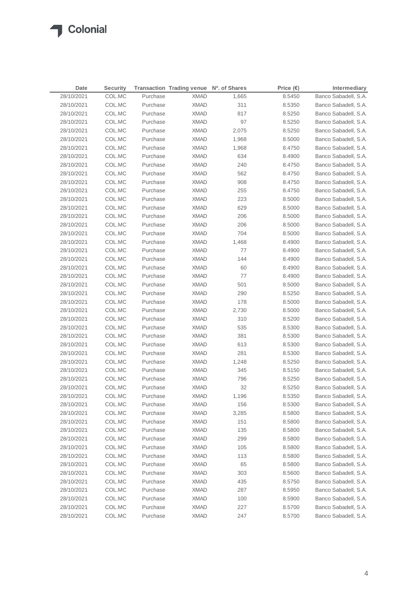| Date       | <b>Security</b> |          | Transaction Trading venue Nº. of Shares |       | Price $(\epsilon)$ | Intermediary         |
|------------|-----------------|----------|-----------------------------------------|-------|--------------------|----------------------|
| 28/10/2021 | COL.MC          | Purchase | <b>XMAD</b>                             | 1,665 | 8.5450             | Banco Sabadell, S.A. |
| 28/10/2021 | COL.MC          | Purchase | <b>XMAD</b>                             | 311   | 8.5350             | Banco Sabadell, S.A. |
| 28/10/2021 | COL.MC          | Purchase | <b>XMAD</b>                             | 817   | 8.5250             | Banco Sabadell, S.A. |
| 28/10/2021 | COL.MC          | Purchase | <b>XMAD</b>                             | 97    | 8.5250             | Banco Sabadell, S.A. |
| 28/10/2021 | COL.MC          | Purchase | <b>XMAD</b>                             | 2,075 | 8.5250             | Banco Sabadell, S.A. |
| 28/10/2021 | COL.MC          | Purchase | <b>XMAD</b>                             | 1,968 | 8.5000             | Banco Sabadell, S.A. |
| 28/10/2021 | COL.MC          | Purchase | <b>XMAD</b>                             | 1,968 | 8.4750             | Banco Sabadell, S.A. |
| 28/10/2021 | COL.MC          | Purchase | <b>XMAD</b>                             | 634   | 8.4900             | Banco Sabadell, S.A. |
| 28/10/2021 | COL.MC          | Purchase | <b>XMAD</b>                             | 240   | 8.4750             | Banco Sabadell, S.A. |
| 28/10/2021 | COL.MC          | Purchase | <b>XMAD</b>                             | 562   | 8.4750             | Banco Sabadell, S.A. |
| 28/10/2021 | COL.MC          | Purchase | <b>XMAD</b>                             | 908   | 8.4750             | Banco Sabadell, S.A. |
| 28/10/2021 | COL.MC          | Purchase | <b>XMAD</b>                             | 255   | 8.4750             | Banco Sabadell, S.A. |
| 28/10/2021 | COL.MC          | Purchase | <b>XMAD</b>                             | 223   | 8.5000             | Banco Sabadell, S.A. |
| 28/10/2021 | COL.MC          | Purchase | <b>XMAD</b>                             | 629   | 8.5000             | Banco Sabadell, S.A. |
| 28/10/2021 | COL.MC          | Purchase | <b>XMAD</b>                             | 206   | 8.5000             | Banco Sabadell, S.A. |
| 28/10/2021 | COL.MC          | Purchase | <b>XMAD</b>                             | 206   | 8.5000             | Banco Sabadell, S.A. |
| 28/10/2021 | COL.MC          | Purchase | <b>XMAD</b>                             | 704   | 8.5000             | Banco Sabadell, S.A. |
| 28/10/2021 | COL.MC          | Purchase | <b>XMAD</b>                             | 1,468 | 8.4900             | Banco Sabadell, S.A. |
| 28/10/2021 | COL.MC          | Purchase | <b>XMAD</b>                             | 77    | 8.4900             | Banco Sabadell, S.A. |
| 28/10/2021 | COL.MC          | Purchase | <b>XMAD</b>                             | 144   | 8.4900             | Banco Sabadell, S.A. |
| 28/10/2021 | COL.MC          | Purchase | <b>XMAD</b>                             | 60    | 8.4900             | Banco Sabadell, S.A. |
| 28/10/2021 | COL.MC          | Purchase | <b>XMAD</b>                             | 77    | 8.4900             | Banco Sabadell, S.A. |
| 28/10/2021 | COL.MC          | Purchase | <b>XMAD</b>                             | 501   | 8.5000             | Banco Sabadell, S.A. |
| 28/10/2021 | COL.MC          | Purchase | <b>XMAD</b>                             | 290   | 8.5250             | Banco Sabadell, S.A. |
| 28/10/2021 | COL.MC          | Purchase | XMAD                                    | 178   | 8.5000             | Banco Sabadell, S.A. |
| 28/10/2021 | COL.MC          | Purchase | <b>XMAD</b>                             | 2,730 | 8.5000             | Banco Sabadell, S.A. |
| 28/10/2021 | COL.MC          | Purchase | XMAD                                    | 310   | 8.5200             | Banco Sabadell, S.A. |
| 28/10/2021 | COL.MC          | Purchase | <b>XMAD</b>                             | 535   | 8.5300             | Banco Sabadell, S.A. |
| 28/10/2021 | COL.MC          | Purchase | XMAD                                    | 381   | 8.5300             | Banco Sabadell, S.A. |
| 28/10/2021 | COL.MC          | Purchase | XMAD                                    | 613   | 8.5300             | Banco Sabadell, S.A. |
| 28/10/2021 | COL.MC          | Purchase | <b>XMAD</b>                             | 281   | 8.5300             | Banco Sabadell, S.A. |
| 28/10/2021 | COL.MC          | Purchase | XMAD                                    | 1,248 | 8.5250             | Banco Sabadell, S.A. |
| 28/10/2021 | COL.MC          | Purchase | <b>XMAD</b>                             | 345   | 8.5150             | Banco Sabadell, S.A. |
| 28/10/2021 | COL.MC          | Purchase | XMAD                                    | 796   | 8.5250             | Banco Sabadell, S.A. |
| 28/10/2021 | COL.MC          | Purchase | <b>XMAD</b>                             | 32    | 8.5250             | Banco Sabadell, S.A. |
| 28/10/2021 | COL.MC          | Purchase | <b>XMAD</b>                             | 1,196 | 8.5350             | Banco Sabadell, S.A. |
| 28/10/2021 | COL.MC          | Purchase | <b>XMAD</b>                             | 156   | 8.5300             | Banco Sabadell, S.A. |
| 28/10/2021 | COL.MC          | Purchase | <b>XMAD</b>                             | 3,285 | 8.5800             | Banco Sabadell, S.A. |
| 28/10/2021 | COL.MC          | Purchase | <b>XMAD</b>                             | 151   | 8.5800             | Banco Sabadell, S.A. |
| 28/10/2021 | COL.MC          | Purchase | <b>XMAD</b>                             | 135   | 8.5800             | Banco Sabadell, S.A. |
| 28/10/2021 | COL.MC          | Purchase | <b>XMAD</b>                             | 299   | 8.5800             | Banco Sabadell, S.A. |
| 28/10/2021 | COL.MC          | Purchase | <b>XMAD</b>                             | 105   | 8.5800             | Banco Sabadell, S.A. |
| 28/10/2021 | COL.MC          | Purchase | <b>XMAD</b>                             | 113   | 8.5800             | Banco Sabadell, S.A. |
| 28/10/2021 | COL.MC          | Purchase | <b>XMAD</b>                             | 65    | 8.5800             | Banco Sabadell, S.A. |
| 28/10/2021 | COL.MC          | Purchase | <b>XMAD</b>                             | 303   | 8.5600             | Banco Sabadell, S.A. |
| 28/10/2021 | COL.MC          | Purchase | <b>XMAD</b>                             | 435   | 8.5750             | Banco Sabadell, S.A. |
| 28/10/2021 | COL.MC          | Purchase | <b>XMAD</b>                             | 287   | 8.5950             | Banco Sabadell, S.A. |
| 28/10/2021 | COL.MC          | Purchase | <b>XMAD</b>                             | 100   | 8.5900             | Banco Sabadell, S.A. |
| 28/10/2021 | COL.MC          | Purchase | <b>XMAD</b>                             | 227   | 8.5700             | Banco Sabadell, S.A. |
| 28/10/2021 | COL.MC          | Purchase | <b>XMAD</b>                             | 247   | 8.5700             | Banco Sabadell, S.A. |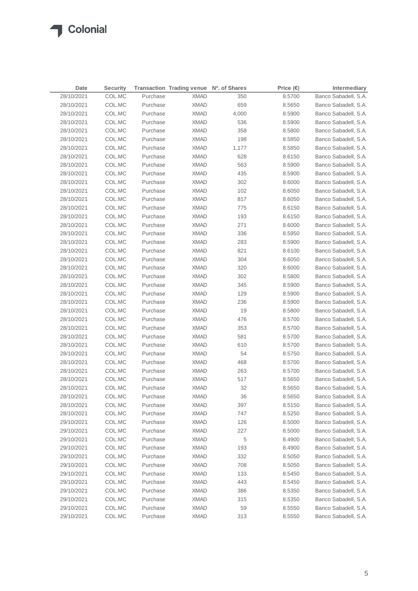| 28/10/2021<br>Banco Sabadell, S.A.<br>COL.MC<br>Purchase<br><b>XMAD</b><br>350<br>8.5700<br>28/10/2021<br>COL.MC<br>Purchase<br><b>XMAD</b><br>659<br>Banco Sabadell, S.A.<br>8.5650<br>28/10/2021<br>COL.MC<br>Purchase<br><b>XMAD</b><br>4,000<br>8.5900<br>Banco Sabadell, S.A.<br>Banco Sabadell, S.A.<br>28/10/2021<br>COL.MC<br>Purchase<br><b>XMAD</b><br>536<br>8.5900<br>28/10/2021<br>COL.MC<br>Purchase<br><b>XMAD</b><br>358<br>Banco Sabadell, S.A.<br>8.5800<br>28/10/2021<br>COL.MC<br>Purchase<br><b>XMAD</b><br>198<br>8.5850<br>Banco Sabadell, S.A.<br>COL.MC<br><b>XMAD</b><br>Banco Sabadell, S.A.<br>28/10/2021<br>Purchase<br>1,177<br>8.5850<br><b>XMAD</b><br>Banco Sabadell, S.A.<br>28/10/2021<br>COL.MC<br>Purchase<br>628<br>8.6150<br>563<br>28/10/2021<br>COL.MC<br>Purchase<br><b>XMAD</b><br>8.5900<br>Banco Sabadell, S.A.<br>435<br>28/10/2021<br>COL.MC<br>Purchase<br><b>XMAD</b><br>8.5900<br>Banco Sabadell, S.A.<br>302<br>Banco Sabadell, S.A.<br>28/10/2021<br>COL.MC<br>Purchase<br><b>XMAD</b><br>8.6000<br>28/10/2021<br>COL.MC<br>Purchase<br><b>XMAD</b><br>102<br>8.6050<br>Banco Sabadell, S.A.<br>817<br>28/10/2021<br>COL.MC<br>Purchase<br><b>XMAD</b><br>8.6050<br>Banco Sabadell, S.A.<br>Banco Sabadell, S.A.<br>28/10/2021<br>COL.MC<br>Purchase<br><b>XMAD</b><br>775<br>8.6150<br>Banco Sabadell, S.A.<br>28/10/2021<br>COL.MC<br>Purchase<br><b>XMAD</b><br>193<br>8.6150<br>271<br>28/10/2021<br>COL.MC<br>Purchase<br><b>XMAD</b><br>8.6000<br>Banco Sabadell, S.A.<br>28/10/2021<br>COL.MC<br>Purchase<br><b>XMAD</b><br>336<br>8.5950<br>Banco Sabadell, S.A.<br>28/10/2021<br>COL.MC<br>Purchase<br><b>XMAD</b><br>283<br>8.5900<br>Banco Sabadell, S.A.<br>28/10/2021<br>COL.MC<br>Purchase<br><b>XMAD</b><br>821<br>8.6100<br>Banco Sabadell, S.A.<br>304<br>28/10/2021<br>COL.MC<br>Purchase<br><b>XMAD</b><br>8.6050<br>Banco Sabadell, S.A.<br>Banco Sabadell, S.A.<br>28/10/2021<br>COL.MC<br>Purchase<br><b>XMAD</b><br>320<br>8.6000<br>302<br>Banco Sabadell, S.A.<br>28/10/2021<br>COL.MC<br>Purchase<br><b>XMAD</b><br>8.5800<br>28/10/2021<br>COL.MC<br>Purchase<br><b>XMAD</b><br>345<br>8.5900<br>Banco Sabadell, S.A.<br>28/10/2021<br>Purchase<br><b>XMAD</b><br>129<br>Banco Sabadell, S.A.<br>COL.MC<br>8.5900<br>28/10/2021<br>COL.MC<br>Purchase<br><b>XMAD</b><br>236<br>Banco Sabadell, S.A.<br>8.5900<br>28/10/2021<br>COL.MC<br>Purchase<br>19<br>8.5800<br>Banco Sabadell, S.A.<br>XMAD<br>28/10/2021<br>COL.MC<br>Purchase<br><b>XMAD</b><br>476<br>Banco Sabadell, S.A.<br>8.5700<br>28/10/2021<br>Purchase<br>353<br>Banco Sabadell, S.A.<br>COL.MC<br>XMAD<br>8.5700<br>28/10/2021<br>Purchase<br>581<br>Banco Sabadell, S.A.<br>COL.MC<br>XMAD<br>8.5700<br>28/10/2021<br>610<br>Banco Sabadell, S.A.<br>COL.MC<br>Purchase<br>XMAD<br>8.5700<br>28/10/2021<br>54<br>Banco Sabadell, S.A.<br>COL.MC<br>Purchase<br>XMAD<br>8.5750<br>28/10/2021<br>COL.MC<br>Purchase<br>468<br>Banco Sabadell, S.A.<br>XMAD<br>8.5700<br>28/10/2021<br>COL.MC<br>Purchase<br><b>XMAD</b><br>263<br>8.5700<br>Banco Sabadell, S.A.<br>28/10/2021<br>COL.MC<br>Purchase<br><b>XMAD</b><br>517<br>8.5650<br>Banco Sabadell, S.A.<br>32<br>Banco Sabadell, S.A.<br>28/10/2021<br>COL.MC<br>Purchase<br><b>XMAD</b><br>8.5650<br>COL.MC<br><b>XMAD</b><br>36<br>28/10/2021<br>Purchase<br>8.5650<br>Banco Sabadell, S.A.<br>28/10/2021<br>COL.MC<br>Purchase<br><b>XMAD</b><br>397<br>8.5150<br>Banco Sabadell, S.A.<br>28/10/2021<br>COL.MC<br>Purchase<br><b>XMAD</b><br>747<br>8.5250<br>Banco Sabadell, S.A.<br>Banco Sabadell, S.A.<br>29/10/2021<br>COL.MC<br>Purchase<br><b>XMAD</b><br>126<br>8.5000<br>COL.MC<br>Purchase<br>227<br>Banco Sabadell, S.A.<br>29/10/2021<br><b>XMAD</b><br>8.5000<br>29/10/2021<br>COL.MC<br>Purchase<br><b>XMAD</b><br>5<br>8.4900<br>Banco Sabadell, S.A.<br>Banco Sabadell, S.A.<br>29/10/2021<br>COL.MC<br>Purchase<br><b>XMAD</b><br>193<br>8.4900<br>332<br>29/10/2021<br>COL.MC<br>Purchase<br><b>XMAD</b><br>8.5050<br>Banco Sabadell, S.A.<br>29/10/2021<br>COL.MC<br>Purchase<br><b>XMAD</b><br>708<br>Banco Sabadell, S.A.<br>8.5050<br>29/10/2021<br>COL.MC<br>Purchase<br><b>XMAD</b><br>133<br>Banco Sabadell, S.A.<br>8.5450<br>29/10/2021<br>COL.MC<br>Purchase<br><b>XMAD</b><br>443<br>8.5450<br>Banco Sabadell, S.A.<br>29/10/2021<br>COL.MC<br>Purchase<br><b>XMAD</b><br>386<br>8.5350<br>Banco Sabadell, S.A.<br>29/10/2021<br>COL.MC<br>Purchase<br><b>XMAD</b><br>315<br>8.5350<br>Banco Sabadell, S.A.<br>29/10/2021<br>COL.MC<br>Purchase<br><b>XMAD</b><br>59<br>8.5550<br>Banco Sabadell, S.A. | Date | <b>Security</b> | Transaction Trading venue Nº. of Shares | Price $(\epsilon)$ | Intermediary |
|---------------------------------------------------------------------------------------------------------------------------------------------------------------------------------------------------------------------------------------------------------------------------------------------------------------------------------------------------------------------------------------------------------------------------------------------------------------------------------------------------------------------------------------------------------------------------------------------------------------------------------------------------------------------------------------------------------------------------------------------------------------------------------------------------------------------------------------------------------------------------------------------------------------------------------------------------------------------------------------------------------------------------------------------------------------------------------------------------------------------------------------------------------------------------------------------------------------------------------------------------------------------------------------------------------------------------------------------------------------------------------------------------------------------------------------------------------------------------------------------------------------------------------------------------------------------------------------------------------------------------------------------------------------------------------------------------------------------------------------------------------------------------------------------------------------------------------------------------------------------------------------------------------------------------------------------------------------------------------------------------------------------------------------------------------------------------------------------------------------------------------------------------------------------------------------------------------------------------------------------------------------------------------------------------------------------------------------------------------------------------------------------------------------------------------------------------------------------------------------------------------------------------------------------------------------------------------------------------------------------------------------------------------------------------------------------------------------------------------------------------------------------------------------------------------------------------------------------------------------------------------------------------------------------------------------------------------------------------------------------------------------------------------------------------------------------------------------------------------------------------------------------------------------------------------------------------------------------------------------------------------------------------------------------------------------------------------------------------------------------------------------------------------------------------------------------------------------------------------------------------------------------------------------------------------------------------------------------------------------------------------------------------------------------------------------------------------------------------------------------------------------------------------------------------------------------------------------------------------------------------------------------------------------------------------------------------------------------------------------------------------------------------------------------------------------------------------------------------------------------------------------------------------------------------------------------------------------------------------------------------------------------------------------------------------------------------------------------------------------------------------------------------------------------------------------------------------------------------------------------------------------------------------------------------------------------------------------------------------------------------------------------|------|-----------------|-----------------------------------------|--------------------|--------------|
|                                                                                                                                                                                                                                                                                                                                                                                                                                                                                                                                                                                                                                                                                                                                                                                                                                                                                                                                                                                                                                                                                                                                                                                                                                                                                                                                                                                                                                                                                                                                                                                                                                                                                                                                                                                                                                                                                                                                                                                                                                                                                                                                                                                                                                                                                                                                                                                                                                                                                                                                                                                                                                                                                                                                                                                                                                                                                                                                                                                                                                                                                                                                                                                                                                                                                                                                                                                                                                                                                                                                                                                                                                                                                                                                                                                                                                                                                                                                                                                                                                                                                                                                                                                                                                                                                                                                                                                                                                                                                                                                                                                                                                             |      |                 |                                         |                    |              |
|                                                                                                                                                                                                                                                                                                                                                                                                                                                                                                                                                                                                                                                                                                                                                                                                                                                                                                                                                                                                                                                                                                                                                                                                                                                                                                                                                                                                                                                                                                                                                                                                                                                                                                                                                                                                                                                                                                                                                                                                                                                                                                                                                                                                                                                                                                                                                                                                                                                                                                                                                                                                                                                                                                                                                                                                                                                                                                                                                                                                                                                                                                                                                                                                                                                                                                                                                                                                                                                                                                                                                                                                                                                                                                                                                                                                                                                                                                                                                                                                                                                                                                                                                                                                                                                                                                                                                                                                                                                                                                                                                                                                                                             |      |                 |                                         |                    |              |
|                                                                                                                                                                                                                                                                                                                                                                                                                                                                                                                                                                                                                                                                                                                                                                                                                                                                                                                                                                                                                                                                                                                                                                                                                                                                                                                                                                                                                                                                                                                                                                                                                                                                                                                                                                                                                                                                                                                                                                                                                                                                                                                                                                                                                                                                                                                                                                                                                                                                                                                                                                                                                                                                                                                                                                                                                                                                                                                                                                                                                                                                                                                                                                                                                                                                                                                                                                                                                                                                                                                                                                                                                                                                                                                                                                                                                                                                                                                                                                                                                                                                                                                                                                                                                                                                                                                                                                                                                                                                                                                                                                                                                                             |      |                 |                                         |                    |              |
|                                                                                                                                                                                                                                                                                                                                                                                                                                                                                                                                                                                                                                                                                                                                                                                                                                                                                                                                                                                                                                                                                                                                                                                                                                                                                                                                                                                                                                                                                                                                                                                                                                                                                                                                                                                                                                                                                                                                                                                                                                                                                                                                                                                                                                                                                                                                                                                                                                                                                                                                                                                                                                                                                                                                                                                                                                                                                                                                                                                                                                                                                                                                                                                                                                                                                                                                                                                                                                                                                                                                                                                                                                                                                                                                                                                                                                                                                                                                                                                                                                                                                                                                                                                                                                                                                                                                                                                                                                                                                                                                                                                                                                             |      |                 |                                         |                    |              |
|                                                                                                                                                                                                                                                                                                                                                                                                                                                                                                                                                                                                                                                                                                                                                                                                                                                                                                                                                                                                                                                                                                                                                                                                                                                                                                                                                                                                                                                                                                                                                                                                                                                                                                                                                                                                                                                                                                                                                                                                                                                                                                                                                                                                                                                                                                                                                                                                                                                                                                                                                                                                                                                                                                                                                                                                                                                                                                                                                                                                                                                                                                                                                                                                                                                                                                                                                                                                                                                                                                                                                                                                                                                                                                                                                                                                                                                                                                                                                                                                                                                                                                                                                                                                                                                                                                                                                                                                                                                                                                                                                                                                                                             |      |                 |                                         |                    |              |
|                                                                                                                                                                                                                                                                                                                                                                                                                                                                                                                                                                                                                                                                                                                                                                                                                                                                                                                                                                                                                                                                                                                                                                                                                                                                                                                                                                                                                                                                                                                                                                                                                                                                                                                                                                                                                                                                                                                                                                                                                                                                                                                                                                                                                                                                                                                                                                                                                                                                                                                                                                                                                                                                                                                                                                                                                                                                                                                                                                                                                                                                                                                                                                                                                                                                                                                                                                                                                                                                                                                                                                                                                                                                                                                                                                                                                                                                                                                                                                                                                                                                                                                                                                                                                                                                                                                                                                                                                                                                                                                                                                                                                                             |      |                 |                                         |                    |              |
|                                                                                                                                                                                                                                                                                                                                                                                                                                                                                                                                                                                                                                                                                                                                                                                                                                                                                                                                                                                                                                                                                                                                                                                                                                                                                                                                                                                                                                                                                                                                                                                                                                                                                                                                                                                                                                                                                                                                                                                                                                                                                                                                                                                                                                                                                                                                                                                                                                                                                                                                                                                                                                                                                                                                                                                                                                                                                                                                                                                                                                                                                                                                                                                                                                                                                                                                                                                                                                                                                                                                                                                                                                                                                                                                                                                                                                                                                                                                                                                                                                                                                                                                                                                                                                                                                                                                                                                                                                                                                                                                                                                                                                             |      |                 |                                         |                    |              |
|                                                                                                                                                                                                                                                                                                                                                                                                                                                                                                                                                                                                                                                                                                                                                                                                                                                                                                                                                                                                                                                                                                                                                                                                                                                                                                                                                                                                                                                                                                                                                                                                                                                                                                                                                                                                                                                                                                                                                                                                                                                                                                                                                                                                                                                                                                                                                                                                                                                                                                                                                                                                                                                                                                                                                                                                                                                                                                                                                                                                                                                                                                                                                                                                                                                                                                                                                                                                                                                                                                                                                                                                                                                                                                                                                                                                                                                                                                                                                                                                                                                                                                                                                                                                                                                                                                                                                                                                                                                                                                                                                                                                                                             |      |                 |                                         |                    |              |
|                                                                                                                                                                                                                                                                                                                                                                                                                                                                                                                                                                                                                                                                                                                                                                                                                                                                                                                                                                                                                                                                                                                                                                                                                                                                                                                                                                                                                                                                                                                                                                                                                                                                                                                                                                                                                                                                                                                                                                                                                                                                                                                                                                                                                                                                                                                                                                                                                                                                                                                                                                                                                                                                                                                                                                                                                                                                                                                                                                                                                                                                                                                                                                                                                                                                                                                                                                                                                                                                                                                                                                                                                                                                                                                                                                                                                                                                                                                                                                                                                                                                                                                                                                                                                                                                                                                                                                                                                                                                                                                                                                                                                                             |      |                 |                                         |                    |              |
|                                                                                                                                                                                                                                                                                                                                                                                                                                                                                                                                                                                                                                                                                                                                                                                                                                                                                                                                                                                                                                                                                                                                                                                                                                                                                                                                                                                                                                                                                                                                                                                                                                                                                                                                                                                                                                                                                                                                                                                                                                                                                                                                                                                                                                                                                                                                                                                                                                                                                                                                                                                                                                                                                                                                                                                                                                                                                                                                                                                                                                                                                                                                                                                                                                                                                                                                                                                                                                                                                                                                                                                                                                                                                                                                                                                                                                                                                                                                                                                                                                                                                                                                                                                                                                                                                                                                                                                                                                                                                                                                                                                                                                             |      |                 |                                         |                    |              |
|                                                                                                                                                                                                                                                                                                                                                                                                                                                                                                                                                                                                                                                                                                                                                                                                                                                                                                                                                                                                                                                                                                                                                                                                                                                                                                                                                                                                                                                                                                                                                                                                                                                                                                                                                                                                                                                                                                                                                                                                                                                                                                                                                                                                                                                                                                                                                                                                                                                                                                                                                                                                                                                                                                                                                                                                                                                                                                                                                                                                                                                                                                                                                                                                                                                                                                                                                                                                                                                                                                                                                                                                                                                                                                                                                                                                                                                                                                                                                                                                                                                                                                                                                                                                                                                                                                                                                                                                                                                                                                                                                                                                                                             |      |                 |                                         |                    |              |
|                                                                                                                                                                                                                                                                                                                                                                                                                                                                                                                                                                                                                                                                                                                                                                                                                                                                                                                                                                                                                                                                                                                                                                                                                                                                                                                                                                                                                                                                                                                                                                                                                                                                                                                                                                                                                                                                                                                                                                                                                                                                                                                                                                                                                                                                                                                                                                                                                                                                                                                                                                                                                                                                                                                                                                                                                                                                                                                                                                                                                                                                                                                                                                                                                                                                                                                                                                                                                                                                                                                                                                                                                                                                                                                                                                                                                                                                                                                                                                                                                                                                                                                                                                                                                                                                                                                                                                                                                                                                                                                                                                                                                                             |      |                 |                                         |                    |              |
|                                                                                                                                                                                                                                                                                                                                                                                                                                                                                                                                                                                                                                                                                                                                                                                                                                                                                                                                                                                                                                                                                                                                                                                                                                                                                                                                                                                                                                                                                                                                                                                                                                                                                                                                                                                                                                                                                                                                                                                                                                                                                                                                                                                                                                                                                                                                                                                                                                                                                                                                                                                                                                                                                                                                                                                                                                                                                                                                                                                                                                                                                                                                                                                                                                                                                                                                                                                                                                                                                                                                                                                                                                                                                                                                                                                                                                                                                                                                                                                                                                                                                                                                                                                                                                                                                                                                                                                                                                                                                                                                                                                                                                             |      |                 |                                         |                    |              |
|                                                                                                                                                                                                                                                                                                                                                                                                                                                                                                                                                                                                                                                                                                                                                                                                                                                                                                                                                                                                                                                                                                                                                                                                                                                                                                                                                                                                                                                                                                                                                                                                                                                                                                                                                                                                                                                                                                                                                                                                                                                                                                                                                                                                                                                                                                                                                                                                                                                                                                                                                                                                                                                                                                                                                                                                                                                                                                                                                                                                                                                                                                                                                                                                                                                                                                                                                                                                                                                                                                                                                                                                                                                                                                                                                                                                                                                                                                                                                                                                                                                                                                                                                                                                                                                                                                                                                                                                                                                                                                                                                                                                                                             |      |                 |                                         |                    |              |
|                                                                                                                                                                                                                                                                                                                                                                                                                                                                                                                                                                                                                                                                                                                                                                                                                                                                                                                                                                                                                                                                                                                                                                                                                                                                                                                                                                                                                                                                                                                                                                                                                                                                                                                                                                                                                                                                                                                                                                                                                                                                                                                                                                                                                                                                                                                                                                                                                                                                                                                                                                                                                                                                                                                                                                                                                                                                                                                                                                                                                                                                                                                                                                                                                                                                                                                                                                                                                                                                                                                                                                                                                                                                                                                                                                                                                                                                                                                                                                                                                                                                                                                                                                                                                                                                                                                                                                                                                                                                                                                                                                                                                                             |      |                 |                                         |                    |              |
|                                                                                                                                                                                                                                                                                                                                                                                                                                                                                                                                                                                                                                                                                                                                                                                                                                                                                                                                                                                                                                                                                                                                                                                                                                                                                                                                                                                                                                                                                                                                                                                                                                                                                                                                                                                                                                                                                                                                                                                                                                                                                                                                                                                                                                                                                                                                                                                                                                                                                                                                                                                                                                                                                                                                                                                                                                                                                                                                                                                                                                                                                                                                                                                                                                                                                                                                                                                                                                                                                                                                                                                                                                                                                                                                                                                                                                                                                                                                                                                                                                                                                                                                                                                                                                                                                                                                                                                                                                                                                                                                                                                                                                             |      |                 |                                         |                    |              |
|                                                                                                                                                                                                                                                                                                                                                                                                                                                                                                                                                                                                                                                                                                                                                                                                                                                                                                                                                                                                                                                                                                                                                                                                                                                                                                                                                                                                                                                                                                                                                                                                                                                                                                                                                                                                                                                                                                                                                                                                                                                                                                                                                                                                                                                                                                                                                                                                                                                                                                                                                                                                                                                                                                                                                                                                                                                                                                                                                                                                                                                                                                                                                                                                                                                                                                                                                                                                                                                                                                                                                                                                                                                                                                                                                                                                                                                                                                                                                                                                                                                                                                                                                                                                                                                                                                                                                                                                                                                                                                                                                                                                                                             |      |                 |                                         |                    |              |
|                                                                                                                                                                                                                                                                                                                                                                                                                                                                                                                                                                                                                                                                                                                                                                                                                                                                                                                                                                                                                                                                                                                                                                                                                                                                                                                                                                                                                                                                                                                                                                                                                                                                                                                                                                                                                                                                                                                                                                                                                                                                                                                                                                                                                                                                                                                                                                                                                                                                                                                                                                                                                                                                                                                                                                                                                                                                                                                                                                                                                                                                                                                                                                                                                                                                                                                                                                                                                                                                                                                                                                                                                                                                                                                                                                                                                                                                                                                                                                                                                                                                                                                                                                                                                                                                                                                                                                                                                                                                                                                                                                                                                                             |      |                 |                                         |                    |              |
|                                                                                                                                                                                                                                                                                                                                                                                                                                                                                                                                                                                                                                                                                                                                                                                                                                                                                                                                                                                                                                                                                                                                                                                                                                                                                                                                                                                                                                                                                                                                                                                                                                                                                                                                                                                                                                                                                                                                                                                                                                                                                                                                                                                                                                                                                                                                                                                                                                                                                                                                                                                                                                                                                                                                                                                                                                                                                                                                                                                                                                                                                                                                                                                                                                                                                                                                                                                                                                                                                                                                                                                                                                                                                                                                                                                                                                                                                                                                                                                                                                                                                                                                                                                                                                                                                                                                                                                                                                                                                                                                                                                                                                             |      |                 |                                         |                    |              |
|                                                                                                                                                                                                                                                                                                                                                                                                                                                                                                                                                                                                                                                                                                                                                                                                                                                                                                                                                                                                                                                                                                                                                                                                                                                                                                                                                                                                                                                                                                                                                                                                                                                                                                                                                                                                                                                                                                                                                                                                                                                                                                                                                                                                                                                                                                                                                                                                                                                                                                                                                                                                                                                                                                                                                                                                                                                                                                                                                                                                                                                                                                                                                                                                                                                                                                                                                                                                                                                                                                                                                                                                                                                                                                                                                                                                                                                                                                                                                                                                                                                                                                                                                                                                                                                                                                                                                                                                                                                                                                                                                                                                                                             |      |                 |                                         |                    |              |
|                                                                                                                                                                                                                                                                                                                                                                                                                                                                                                                                                                                                                                                                                                                                                                                                                                                                                                                                                                                                                                                                                                                                                                                                                                                                                                                                                                                                                                                                                                                                                                                                                                                                                                                                                                                                                                                                                                                                                                                                                                                                                                                                                                                                                                                                                                                                                                                                                                                                                                                                                                                                                                                                                                                                                                                                                                                                                                                                                                                                                                                                                                                                                                                                                                                                                                                                                                                                                                                                                                                                                                                                                                                                                                                                                                                                                                                                                                                                                                                                                                                                                                                                                                                                                                                                                                                                                                                                                                                                                                                                                                                                                                             |      |                 |                                         |                    |              |
|                                                                                                                                                                                                                                                                                                                                                                                                                                                                                                                                                                                                                                                                                                                                                                                                                                                                                                                                                                                                                                                                                                                                                                                                                                                                                                                                                                                                                                                                                                                                                                                                                                                                                                                                                                                                                                                                                                                                                                                                                                                                                                                                                                                                                                                                                                                                                                                                                                                                                                                                                                                                                                                                                                                                                                                                                                                                                                                                                                                                                                                                                                                                                                                                                                                                                                                                                                                                                                                                                                                                                                                                                                                                                                                                                                                                                                                                                                                                                                                                                                                                                                                                                                                                                                                                                                                                                                                                                                                                                                                                                                                                                                             |      |                 |                                         |                    |              |
|                                                                                                                                                                                                                                                                                                                                                                                                                                                                                                                                                                                                                                                                                                                                                                                                                                                                                                                                                                                                                                                                                                                                                                                                                                                                                                                                                                                                                                                                                                                                                                                                                                                                                                                                                                                                                                                                                                                                                                                                                                                                                                                                                                                                                                                                                                                                                                                                                                                                                                                                                                                                                                                                                                                                                                                                                                                                                                                                                                                                                                                                                                                                                                                                                                                                                                                                                                                                                                                                                                                                                                                                                                                                                                                                                                                                                                                                                                                                                                                                                                                                                                                                                                                                                                                                                                                                                                                                                                                                                                                                                                                                                                             |      |                 |                                         |                    |              |
|                                                                                                                                                                                                                                                                                                                                                                                                                                                                                                                                                                                                                                                                                                                                                                                                                                                                                                                                                                                                                                                                                                                                                                                                                                                                                                                                                                                                                                                                                                                                                                                                                                                                                                                                                                                                                                                                                                                                                                                                                                                                                                                                                                                                                                                                                                                                                                                                                                                                                                                                                                                                                                                                                                                                                                                                                                                                                                                                                                                                                                                                                                                                                                                                                                                                                                                                                                                                                                                                                                                                                                                                                                                                                                                                                                                                                                                                                                                                                                                                                                                                                                                                                                                                                                                                                                                                                                                                                                                                                                                                                                                                                                             |      |                 |                                         |                    |              |
|                                                                                                                                                                                                                                                                                                                                                                                                                                                                                                                                                                                                                                                                                                                                                                                                                                                                                                                                                                                                                                                                                                                                                                                                                                                                                                                                                                                                                                                                                                                                                                                                                                                                                                                                                                                                                                                                                                                                                                                                                                                                                                                                                                                                                                                                                                                                                                                                                                                                                                                                                                                                                                                                                                                                                                                                                                                                                                                                                                                                                                                                                                                                                                                                                                                                                                                                                                                                                                                                                                                                                                                                                                                                                                                                                                                                                                                                                                                                                                                                                                                                                                                                                                                                                                                                                                                                                                                                                                                                                                                                                                                                                                             |      |                 |                                         |                    |              |
|                                                                                                                                                                                                                                                                                                                                                                                                                                                                                                                                                                                                                                                                                                                                                                                                                                                                                                                                                                                                                                                                                                                                                                                                                                                                                                                                                                                                                                                                                                                                                                                                                                                                                                                                                                                                                                                                                                                                                                                                                                                                                                                                                                                                                                                                                                                                                                                                                                                                                                                                                                                                                                                                                                                                                                                                                                                                                                                                                                                                                                                                                                                                                                                                                                                                                                                                                                                                                                                                                                                                                                                                                                                                                                                                                                                                                                                                                                                                                                                                                                                                                                                                                                                                                                                                                                                                                                                                                                                                                                                                                                                                                                             |      |                 |                                         |                    |              |
|                                                                                                                                                                                                                                                                                                                                                                                                                                                                                                                                                                                                                                                                                                                                                                                                                                                                                                                                                                                                                                                                                                                                                                                                                                                                                                                                                                                                                                                                                                                                                                                                                                                                                                                                                                                                                                                                                                                                                                                                                                                                                                                                                                                                                                                                                                                                                                                                                                                                                                                                                                                                                                                                                                                                                                                                                                                                                                                                                                                                                                                                                                                                                                                                                                                                                                                                                                                                                                                                                                                                                                                                                                                                                                                                                                                                                                                                                                                                                                                                                                                                                                                                                                                                                                                                                                                                                                                                                                                                                                                                                                                                                                             |      |                 |                                         |                    |              |
|                                                                                                                                                                                                                                                                                                                                                                                                                                                                                                                                                                                                                                                                                                                                                                                                                                                                                                                                                                                                                                                                                                                                                                                                                                                                                                                                                                                                                                                                                                                                                                                                                                                                                                                                                                                                                                                                                                                                                                                                                                                                                                                                                                                                                                                                                                                                                                                                                                                                                                                                                                                                                                                                                                                                                                                                                                                                                                                                                                                                                                                                                                                                                                                                                                                                                                                                                                                                                                                                                                                                                                                                                                                                                                                                                                                                                                                                                                                                                                                                                                                                                                                                                                                                                                                                                                                                                                                                                                                                                                                                                                                                                                             |      |                 |                                         |                    |              |
|                                                                                                                                                                                                                                                                                                                                                                                                                                                                                                                                                                                                                                                                                                                                                                                                                                                                                                                                                                                                                                                                                                                                                                                                                                                                                                                                                                                                                                                                                                                                                                                                                                                                                                                                                                                                                                                                                                                                                                                                                                                                                                                                                                                                                                                                                                                                                                                                                                                                                                                                                                                                                                                                                                                                                                                                                                                                                                                                                                                                                                                                                                                                                                                                                                                                                                                                                                                                                                                                                                                                                                                                                                                                                                                                                                                                                                                                                                                                                                                                                                                                                                                                                                                                                                                                                                                                                                                                                                                                                                                                                                                                                                             |      |                 |                                         |                    |              |
|                                                                                                                                                                                                                                                                                                                                                                                                                                                                                                                                                                                                                                                                                                                                                                                                                                                                                                                                                                                                                                                                                                                                                                                                                                                                                                                                                                                                                                                                                                                                                                                                                                                                                                                                                                                                                                                                                                                                                                                                                                                                                                                                                                                                                                                                                                                                                                                                                                                                                                                                                                                                                                                                                                                                                                                                                                                                                                                                                                                                                                                                                                                                                                                                                                                                                                                                                                                                                                                                                                                                                                                                                                                                                                                                                                                                                                                                                                                                                                                                                                                                                                                                                                                                                                                                                                                                                                                                                                                                                                                                                                                                                                             |      |                 |                                         |                    |              |
|                                                                                                                                                                                                                                                                                                                                                                                                                                                                                                                                                                                                                                                                                                                                                                                                                                                                                                                                                                                                                                                                                                                                                                                                                                                                                                                                                                                                                                                                                                                                                                                                                                                                                                                                                                                                                                                                                                                                                                                                                                                                                                                                                                                                                                                                                                                                                                                                                                                                                                                                                                                                                                                                                                                                                                                                                                                                                                                                                                                                                                                                                                                                                                                                                                                                                                                                                                                                                                                                                                                                                                                                                                                                                                                                                                                                                                                                                                                                                                                                                                                                                                                                                                                                                                                                                                                                                                                                                                                                                                                                                                                                                                             |      |                 |                                         |                    |              |
|                                                                                                                                                                                                                                                                                                                                                                                                                                                                                                                                                                                                                                                                                                                                                                                                                                                                                                                                                                                                                                                                                                                                                                                                                                                                                                                                                                                                                                                                                                                                                                                                                                                                                                                                                                                                                                                                                                                                                                                                                                                                                                                                                                                                                                                                                                                                                                                                                                                                                                                                                                                                                                                                                                                                                                                                                                                                                                                                                                                                                                                                                                                                                                                                                                                                                                                                                                                                                                                                                                                                                                                                                                                                                                                                                                                                                                                                                                                                                                                                                                                                                                                                                                                                                                                                                                                                                                                                                                                                                                                                                                                                                                             |      |                 |                                         |                    |              |
|                                                                                                                                                                                                                                                                                                                                                                                                                                                                                                                                                                                                                                                                                                                                                                                                                                                                                                                                                                                                                                                                                                                                                                                                                                                                                                                                                                                                                                                                                                                                                                                                                                                                                                                                                                                                                                                                                                                                                                                                                                                                                                                                                                                                                                                                                                                                                                                                                                                                                                                                                                                                                                                                                                                                                                                                                                                                                                                                                                                                                                                                                                                                                                                                                                                                                                                                                                                                                                                                                                                                                                                                                                                                                                                                                                                                                                                                                                                                                                                                                                                                                                                                                                                                                                                                                                                                                                                                                                                                                                                                                                                                                                             |      |                 |                                         |                    |              |
|                                                                                                                                                                                                                                                                                                                                                                                                                                                                                                                                                                                                                                                                                                                                                                                                                                                                                                                                                                                                                                                                                                                                                                                                                                                                                                                                                                                                                                                                                                                                                                                                                                                                                                                                                                                                                                                                                                                                                                                                                                                                                                                                                                                                                                                                                                                                                                                                                                                                                                                                                                                                                                                                                                                                                                                                                                                                                                                                                                                                                                                                                                                                                                                                                                                                                                                                                                                                                                                                                                                                                                                                                                                                                                                                                                                                                                                                                                                                                                                                                                                                                                                                                                                                                                                                                                                                                                                                                                                                                                                                                                                                                                             |      |                 |                                         |                    |              |
|                                                                                                                                                                                                                                                                                                                                                                                                                                                                                                                                                                                                                                                                                                                                                                                                                                                                                                                                                                                                                                                                                                                                                                                                                                                                                                                                                                                                                                                                                                                                                                                                                                                                                                                                                                                                                                                                                                                                                                                                                                                                                                                                                                                                                                                                                                                                                                                                                                                                                                                                                                                                                                                                                                                                                                                                                                                                                                                                                                                                                                                                                                                                                                                                                                                                                                                                                                                                                                                                                                                                                                                                                                                                                                                                                                                                                                                                                                                                                                                                                                                                                                                                                                                                                                                                                                                                                                                                                                                                                                                                                                                                                                             |      |                 |                                         |                    |              |
|                                                                                                                                                                                                                                                                                                                                                                                                                                                                                                                                                                                                                                                                                                                                                                                                                                                                                                                                                                                                                                                                                                                                                                                                                                                                                                                                                                                                                                                                                                                                                                                                                                                                                                                                                                                                                                                                                                                                                                                                                                                                                                                                                                                                                                                                                                                                                                                                                                                                                                                                                                                                                                                                                                                                                                                                                                                                                                                                                                                                                                                                                                                                                                                                                                                                                                                                                                                                                                                                                                                                                                                                                                                                                                                                                                                                                                                                                                                                                                                                                                                                                                                                                                                                                                                                                                                                                                                                                                                                                                                                                                                                                                             |      |                 |                                         |                    |              |
|                                                                                                                                                                                                                                                                                                                                                                                                                                                                                                                                                                                                                                                                                                                                                                                                                                                                                                                                                                                                                                                                                                                                                                                                                                                                                                                                                                                                                                                                                                                                                                                                                                                                                                                                                                                                                                                                                                                                                                                                                                                                                                                                                                                                                                                                                                                                                                                                                                                                                                                                                                                                                                                                                                                                                                                                                                                                                                                                                                                                                                                                                                                                                                                                                                                                                                                                                                                                                                                                                                                                                                                                                                                                                                                                                                                                                                                                                                                                                                                                                                                                                                                                                                                                                                                                                                                                                                                                                                                                                                                                                                                                                                             |      |                 |                                         |                    |              |
|                                                                                                                                                                                                                                                                                                                                                                                                                                                                                                                                                                                                                                                                                                                                                                                                                                                                                                                                                                                                                                                                                                                                                                                                                                                                                                                                                                                                                                                                                                                                                                                                                                                                                                                                                                                                                                                                                                                                                                                                                                                                                                                                                                                                                                                                                                                                                                                                                                                                                                                                                                                                                                                                                                                                                                                                                                                                                                                                                                                                                                                                                                                                                                                                                                                                                                                                                                                                                                                                                                                                                                                                                                                                                                                                                                                                                                                                                                                                                                                                                                                                                                                                                                                                                                                                                                                                                                                                                                                                                                                                                                                                                                             |      |                 |                                         |                    |              |
|                                                                                                                                                                                                                                                                                                                                                                                                                                                                                                                                                                                                                                                                                                                                                                                                                                                                                                                                                                                                                                                                                                                                                                                                                                                                                                                                                                                                                                                                                                                                                                                                                                                                                                                                                                                                                                                                                                                                                                                                                                                                                                                                                                                                                                                                                                                                                                                                                                                                                                                                                                                                                                                                                                                                                                                                                                                                                                                                                                                                                                                                                                                                                                                                                                                                                                                                                                                                                                                                                                                                                                                                                                                                                                                                                                                                                                                                                                                                                                                                                                                                                                                                                                                                                                                                                                                                                                                                                                                                                                                                                                                                                                             |      |                 |                                         |                    |              |
|                                                                                                                                                                                                                                                                                                                                                                                                                                                                                                                                                                                                                                                                                                                                                                                                                                                                                                                                                                                                                                                                                                                                                                                                                                                                                                                                                                                                                                                                                                                                                                                                                                                                                                                                                                                                                                                                                                                                                                                                                                                                                                                                                                                                                                                                                                                                                                                                                                                                                                                                                                                                                                                                                                                                                                                                                                                                                                                                                                                                                                                                                                                                                                                                                                                                                                                                                                                                                                                                                                                                                                                                                                                                                                                                                                                                                                                                                                                                                                                                                                                                                                                                                                                                                                                                                                                                                                                                                                                                                                                                                                                                                                             |      |                 |                                         |                    |              |
|                                                                                                                                                                                                                                                                                                                                                                                                                                                                                                                                                                                                                                                                                                                                                                                                                                                                                                                                                                                                                                                                                                                                                                                                                                                                                                                                                                                                                                                                                                                                                                                                                                                                                                                                                                                                                                                                                                                                                                                                                                                                                                                                                                                                                                                                                                                                                                                                                                                                                                                                                                                                                                                                                                                                                                                                                                                                                                                                                                                                                                                                                                                                                                                                                                                                                                                                                                                                                                                                                                                                                                                                                                                                                                                                                                                                                                                                                                                                                                                                                                                                                                                                                                                                                                                                                                                                                                                                                                                                                                                                                                                                                                             |      |                 |                                         |                    |              |
|                                                                                                                                                                                                                                                                                                                                                                                                                                                                                                                                                                                                                                                                                                                                                                                                                                                                                                                                                                                                                                                                                                                                                                                                                                                                                                                                                                                                                                                                                                                                                                                                                                                                                                                                                                                                                                                                                                                                                                                                                                                                                                                                                                                                                                                                                                                                                                                                                                                                                                                                                                                                                                                                                                                                                                                                                                                                                                                                                                                                                                                                                                                                                                                                                                                                                                                                                                                                                                                                                                                                                                                                                                                                                                                                                                                                                                                                                                                                                                                                                                                                                                                                                                                                                                                                                                                                                                                                                                                                                                                                                                                                                                             |      |                 |                                         |                    |              |
|                                                                                                                                                                                                                                                                                                                                                                                                                                                                                                                                                                                                                                                                                                                                                                                                                                                                                                                                                                                                                                                                                                                                                                                                                                                                                                                                                                                                                                                                                                                                                                                                                                                                                                                                                                                                                                                                                                                                                                                                                                                                                                                                                                                                                                                                                                                                                                                                                                                                                                                                                                                                                                                                                                                                                                                                                                                                                                                                                                                                                                                                                                                                                                                                                                                                                                                                                                                                                                                                                                                                                                                                                                                                                                                                                                                                                                                                                                                                                                                                                                                                                                                                                                                                                                                                                                                                                                                                                                                                                                                                                                                                                                             |      |                 |                                         |                    |              |
|                                                                                                                                                                                                                                                                                                                                                                                                                                                                                                                                                                                                                                                                                                                                                                                                                                                                                                                                                                                                                                                                                                                                                                                                                                                                                                                                                                                                                                                                                                                                                                                                                                                                                                                                                                                                                                                                                                                                                                                                                                                                                                                                                                                                                                                                                                                                                                                                                                                                                                                                                                                                                                                                                                                                                                                                                                                                                                                                                                                                                                                                                                                                                                                                                                                                                                                                                                                                                                                                                                                                                                                                                                                                                                                                                                                                                                                                                                                                                                                                                                                                                                                                                                                                                                                                                                                                                                                                                                                                                                                                                                                                                                             |      |                 |                                         |                    |              |
|                                                                                                                                                                                                                                                                                                                                                                                                                                                                                                                                                                                                                                                                                                                                                                                                                                                                                                                                                                                                                                                                                                                                                                                                                                                                                                                                                                                                                                                                                                                                                                                                                                                                                                                                                                                                                                                                                                                                                                                                                                                                                                                                                                                                                                                                                                                                                                                                                                                                                                                                                                                                                                                                                                                                                                                                                                                                                                                                                                                                                                                                                                                                                                                                                                                                                                                                                                                                                                                                                                                                                                                                                                                                                                                                                                                                                                                                                                                                                                                                                                                                                                                                                                                                                                                                                                                                                                                                                                                                                                                                                                                                                                             |      |                 |                                         |                    |              |
|                                                                                                                                                                                                                                                                                                                                                                                                                                                                                                                                                                                                                                                                                                                                                                                                                                                                                                                                                                                                                                                                                                                                                                                                                                                                                                                                                                                                                                                                                                                                                                                                                                                                                                                                                                                                                                                                                                                                                                                                                                                                                                                                                                                                                                                                                                                                                                                                                                                                                                                                                                                                                                                                                                                                                                                                                                                                                                                                                                                                                                                                                                                                                                                                                                                                                                                                                                                                                                                                                                                                                                                                                                                                                                                                                                                                                                                                                                                                                                                                                                                                                                                                                                                                                                                                                                                                                                                                                                                                                                                                                                                                                                             |      |                 |                                         |                    |              |
|                                                                                                                                                                                                                                                                                                                                                                                                                                                                                                                                                                                                                                                                                                                                                                                                                                                                                                                                                                                                                                                                                                                                                                                                                                                                                                                                                                                                                                                                                                                                                                                                                                                                                                                                                                                                                                                                                                                                                                                                                                                                                                                                                                                                                                                                                                                                                                                                                                                                                                                                                                                                                                                                                                                                                                                                                                                                                                                                                                                                                                                                                                                                                                                                                                                                                                                                                                                                                                                                                                                                                                                                                                                                                                                                                                                                                                                                                                                                                                                                                                                                                                                                                                                                                                                                                                                                                                                                                                                                                                                                                                                                                                             |      |                 |                                         |                    |              |
|                                                                                                                                                                                                                                                                                                                                                                                                                                                                                                                                                                                                                                                                                                                                                                                                                                                                                                                                                                                                                                                                                                                                                                                                                                                                                                                                                                                                                                                                                                                                                                                                                                                                                                                                                                                                                                                                                                                                                                                                                                                                                                                                                                                                                                                                                                                                                                                                                                                                                                                                                                                                                                                                                                                                                                                                                                                                                                                                                                                                                                                                                                                                                                                                                                                                                                                                                                                                                                                                                                                                                                                                                                                                                                                                                                                                                                                                                                                                                                                                                                                                                                                                                                                                                                                                                                                                                                                                                                                                                                                                                                                                                                             |      |                 |                                         |                    |              |
|                                                                                                                                                                                                                                                                                                                                                                                                                                                                                                                                                                                                                                                                                                                                                                                                                                                                                                                                                                                                                                                                                                                                                                                                                                                                                                                                                                                                                                                                                                                                                                                                                                                                                                                                                                                                                                                                                                                                                                                                                                                                                                                                                                                                                                                                                                                                                                                                                                                                                                                                                                                                                                                                                                                                                                                                                                                                                                                                                                                                                                                                                                                                                                                                                                                                                                                                                                                                                                                                                                                                                                                                                                                                                                                                                                                                                                                                                                                                                                                                                                                                                                                                                                                                                                                                                                                                                                                                                                                                                                                                                                                                                                             |      |                 |                                         |                    |              |
| Banco Sabadell, S.A.<br>29/10/2021<br>COL.MC<br>Purchase<br><b>XMAD</b><br>313<br>8.5550                                                                                                                                                                                                                                                                                                                                                                                                                                                                                                                                                                                                                                                                                                                                                                                                                                                                                                                                                                                                                                                                                                                                                                                                                                                                                                                                                                                                                                                                                                                                                                                                                                                                                                                                                                                                                                                                                                                                                                                                                                                                                                                                                                                                                                                                                                                                                                                                                                                                                                                                                                                                                                                                                                                                                                                                                                                                                                                                                                                                                                                                                                                                                                                                                                                                                                                                                                                                                                                                                                                                                                                                                                                                                                                                                                                                                                                                                                                                                                                                                                                                                                                                                                                                                                                                                                                                                                                                                                                                                                                                                    |      |                 |                                         |                    |              |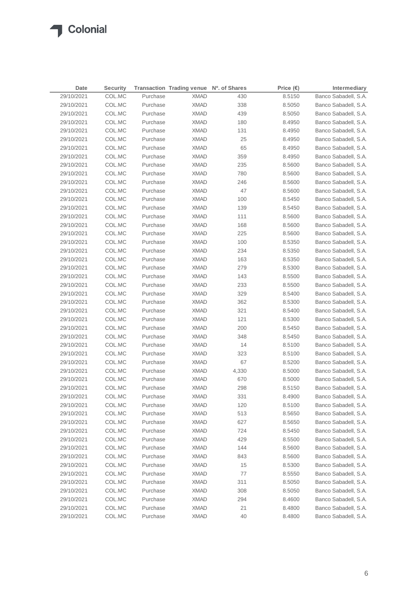| Date       | <b>Security</b> |          | <b>Transaction Trading venue</b> | Nº. of Shares | Price $(\epsilon)$ | Intermediary         |
|------------|-----------------|----------|----------------------------------|---------------|--------------------|----------------------|
| 29/10/2021 | COL.MC          | Purchase | <b>XMAD</b>                      | 430           | 8.5150             | Banco Sabadell, S.A. |
| 29/10/2021 | COL.MC          | Purchase | <b>XMAD</b>                      | 338           | 8.5050             | Banco Sabadell, S.A. |
| 29/10/2021 | COL.MC          | Purchase | <b>XMAD</b>                      | 439           | 8.5050             | Banco Sabadell, S.A. |
| 29/10/2021 | COL.MC          | Purchase | <b>XMAD</b>                      | 180           | 8.4950             | Banco Sabadell, S.A. |
| 29/10/2021 | COL.MC          | Purchase | <b>XMAD</b>                      | 131           | 8.4950             | Banco Sabadell, S.A. |
| 29/10/2021 | COL.MC          | Purchase | <b>XMAD</b>                      | 25            | 8.4950             | Banco Sabadell, S.A. |
| 29/10/2021 | COL.MC          | Purchase | <b>XMAD</b>                      | 65            | 8.4950             | Banco Sabadell, S.A. |
| 29/10/2021 | COL.MC          | Purchase | <b>XMAD</b>                      | 359           | 8.4950             | Banco Sabadell, S.A. |
| 29/10/2021 | COL.MC          | Purchase | <b>XMAD</b>                      | 235           | 8.5600             | Banco Sabadell, S.A. |
| 29/10/2021 | COL.MC          | Purchase | <b>XMAD</b>                      | 780           | 8.5600             | Banco Sabadell, S.A. |
| 29/10/2021 | COL.MC          | Purchase | <b>XMAD</b>                      | 246           | 8.5600             | Banco Sabadell, S.A. |
| 29/10/2021 | COL.MC          | Purchase | <b>XMAD</b>                      | 47            | 8.5600             | Banco Sabadell, S.A. |
| 29/10/2021 | COL.MC          | Purchase | <b>XMAD</b>                      | 100           | 8.5450             | Banco Sabadell, S.A. |
| 29/10/2021 | COL.MC          | Purchase | <b>XMAD</b>                      | 139           | 8.5450             | Banco Sabadell, S.A. |
| 29/10/2021 | COL.MC          | Purchase | <b>XMAD</b>                      | 111           | 8.5600             | Banco Sabadell, S.A. |
| 29/10/2021 | COL.MC          | Purchase | <b>XMAD</b>                      | 168           | 8.5600             | Banco Sabadell, S.A. |
| 29/10/2021 | COL.MC          | Purchase | <b>XMAD</b>                      | 225           | 8.5600             | Banco Sabadell, S.A. |
| 29/10/2021 | COL.MC          | Purchase | <b>XMAD</b>                      | 100           | 8.5350             | Banco Sabadell, S.A. |
| 29/10/2021 | COL.MC          | Purchase | <b>XMAD</b>                      | 234           | 8.5350             | Banco Sabadell, S.A. |
| 29/10/2021 | COL.MC          | Purchase | <b>XMAD</b>                      | 163           | 8.5350             | Banco Sabadell, S.A. |
| 29/10/2021 | COL.MC          | Purchase | <b>XMAD</b>                      | 279           | 8.5300             | Banco Sabadell, S.A. |
| 29/10/2021 | COL.MC          | Purchase | <b>XMAD</b>                      | 143           | 8.5500             | Banco Sabadell, S.A. |
| 29/10/2021 | COL.MC          | Purchase | <b>XMAD</b>                      | 233           | 8.5500             | Banco Sabadell, S.A. |
| 29/10/2021 | COL.MC          | Purchase | <b>XMAD</b>                      | 329           | 8.5400             | Banco Sabadell, S.A. |
| 29/10/2021 | COL.MC          | Purchase | <b>XMAD</b>                      | 362           | 8.5300             | Banco Sabadell, S.A. |
| 29/10/2021 | COL.MC          | Purchase | XMAD                             | 321           | 8.5400             | Banco Sabadell, S.A. |
| 29/10/2021 | COL.MC          | Purchase | <b>XMAD</b>                      | 121           | 8.5300             | Banco Sabadell, S.A. |
| 29/10/2021 | COL.MC          | Purchase | XMAD                             | 200           | 8.5450             | Banco Sabadell, S.A. |
| 29/10/2021 | COL.MC          | Purchase | XMAD                             | 348           | 8.5450             | Banco Sabadell, S.A. |
| 29/10/2021 | COL.MC          | Purchase | XMAD                             | 14            | 8.5100             | Banco Sabadell, S.A. |
| 29/10/2021 | COL.MC          | Purchase | XMAD                             | 323           | 8.5100             | Banco Sabadell, S.A. |
| 29/10/2021 | COL.MC          | Purchase | XMAD                             | 67            | 8.5200             | Banco Sabadell, S.A. |
| 29/10/2021 | COL.MC          | Purchase | <b>XMAD</b>                      | 4,330         | 8.5000             | Banco Sabadell, S.A. |
| 29/10/2021 | COL.MC          | Purchase | <b>XMAD</b>                      | 670           | 8.5000             | Banco Sabadell, S.A. |
| 29/10/2021 | COL.MC          | Purchase | <b>XMAD</b>                      | 298           | 8.5150             | Banco Sabadell, S.A. |
| 29/10/2021 | COL.MC          | Purchase | <b>XMAD</b>                      | 331           | 8.4900             | Banco Sabadell, S.A. |
| 29/10/2021 | COL.MC          | Purchase | <b>XMAD</b>                      | 120           | 8.5100             | Banco Sabadell, S.A. |
| 29/10/2021 | COL.MC          | Purchase | <b>XMAD</b>                      | 513           | 8.5650             | Banco Sabadell, S.A. |
| 29/10/2021 | COL.MC          | Purchase | <b>XMAD</b>                      | 627           | 8.5650             | Banco Sabadell, S.A. |
| 29/10/2021 | COL.MC          | Purchase | <b>XMAD</b>                      | 724           | 8.5450             | Banco Sabadell, S.A. |
| 29/10/2021 | COL.MC          | Purchase | <b>XMAD</b>                      | 429           | 8.5500             | Banco Sabadell, S.A. |
| 29/10/2021 | COL.MC          | Purchase | <b>XMAD</b>                      | 144           | 8.5600             | Banco Sabadell, S.A. |
| 29/10/2021 | COL.MC          | Purchase | <b>XMAD</b>                      | 843           | 8.5600             | Banco Sabadell, S.A. |
| 29/10/2021 | COL.MC          | Purchase | <b>XMAD</b>                      | 15            | 8.5300             | Banco Sabadell, S.A. |
| 29/10/2021 | COL.MC          | Purchase | <b>XMAD</b>                      | 77            | 8.5550             | Banco Sabadell, S.A. |
| 29/10/2021 | COL.MC          | Purchase | <b>XMAD</b>                      | 311           | 8.5050             | Banco Sabadell, S.A. |
| 29/10/2021 | COL.MC          | Purchase | <b>XMAD</b>                      | 308           | 8.5050             | Banco Sabadell, S.A. |
| 29/10/2021 | COL.MC          | Purchase | <b>XMAD</b>                      | 294           | 8.4600             | Banco Sabadell, S.A. |
| 29/10/2021 | COL.MC          | Purchase | <b>XMAD</b>                      | 21            | 8.4800             | Banco Sabadell, S.A. |
| 29/10/2021 | COL.MC          | Purchase | <b>XMAD</b>                      | 40            | 8.4800             | Banco Sabadell, S.A. |
|            |                 |          |                                  |               |                    |                      |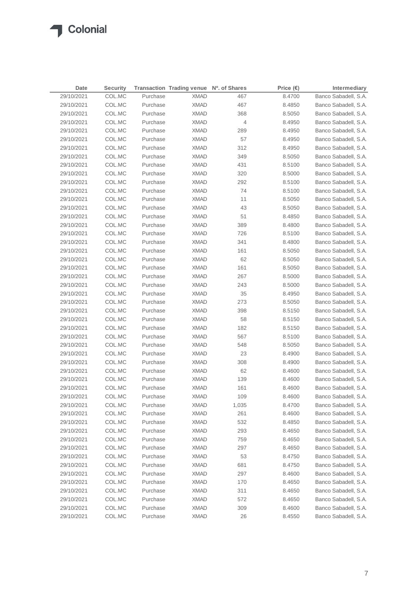|            | Date | <b>Security</b> |          | Transaction Trading venue Nº. of Shares |                | Price $(\epsilon)$ | Intermediary         |
|------------|------|-----------------|----------|-----------------------------------------|----------------|--------------------|----------------------|
| 29/10/2021 |      | COL.MC          | Purchase | <b>XMAD</b>                             | 467            | 8.4700             | Banco Sabadell, S.A. |
| 29/10/2021 |      | COL.MC          | Purchase | <b>XMAD</b>                             | 467            | 8.4850             | Banco Sabadell, S.A. |
| 29/10/2021 |      | COL.MC          | Purchase | <b>XMAD</b>                             | 368            | 8.5050             | Banco Sabadell, S.A. |
| 29/10/2021 |      | COL.MC          | Purchase | <b>XMAD</b>                             | $\overline{4}$ | 8.4950             | Banco Sabadell, S.A. |
| 29/10/2021 |      | COL.MC          | Purchase | <b>XMAD</b>                             | 289            | 8.4950             | Banco Sabadell, S.A. |
| 29/10/2021 |      | COL.MC          | Purchase | <b>XMAD</b>                             | 57             | 8.4950             | Banco Sabadell, S.A. |
| 29/10/2021 |      | COL.MC          | Purchase | <b>XMAD</b>                             | 312            | 8.4950             | Banco Sabadell, S.A. |
| 29/10/2021 |      | COL.MC          | Purchase | <b>XMAD</b>                             | 349            | 8.5050             | Banco Sabadell, S.A. |
| 29/10/2021 |      | COL.MC          | Purchase | <b>XMAD</b>                             | 431            | 8.5100             | Banco Sabadell, S.A. |
| 29/10/2021 |      | COL.MC          | Purchase | <b>XMAD</b>                             | 320            | 8.5000             | Banco Sabadell, S.A. |
| 29/10/2021 |      | COL.MC          | Purchase | <b>XMAD</b>                             | 292            | 8.5100             | Banco Sabadell, S.A. |
| 29/10/2021 |      | COL.MC          | Purchase | <b>XMAD</b>                             | 74             | 8.5100             | Banco Sabadell, S.A. |
| 29/10/2021 |      | COL.MC          | Purchase | <b>XMAD</b>                             | 11             | 8.5050             | Banco Sabadell, S.A. |
| 29/10/2021 |      | COL.MC          | Purchase | <b>XMAD</b>                             | 43             | 8.5050             | Banco Sabadell, S.A. |
| 29/10/2021 |      | COL.MC          | Purchase | <b>XMAD</b>                             | 51             | 8.4850             | Banco Sabadell, S.A. |
| 29/10/2021 |      | COL.MC          | Purchase | <b>XMAD</b>                             | 389            | 8.4800             | Banco Sabadell, S.A. |
| 29/10/2021 |      | COL.MC          | Purchase | <b>XMAD</b>                             | 726            | 8.5100             | Banco Sabadell, S.A. |
| 29/10/2021 |      | COL.MC          | Purchase | <b>XMAD</b>                             | 341            | 8.4800             | Banco Sabadell, S.A. |
| 29/10/2021 |      | COL.MC          | Purchase | <b>XMAD</b>                             | 161            | 8.5050             | Banco Sabadell, S.A. |
| 29/10/2021 |      | COL.MC          | Purchase | <b>XMAD</b>                             | 62             | 8.5050             | Banco Sabadell, S.A. |
| 29/10/2021 |      | COL.MC          | Purchase | <b>XMAD</b>                             | 161            | 8.5050             | Banco Sabadell, S.A. |
| 29/10/2021 |      | COL.MC          | Purchase | <b>XMAD</b>                             | 267            | 8.5000             | Banco Sabadell, S.A. |
| 29/10/2021 |      | COL.MC          | Purchase | XMAD                                    | 243            | 8.5000             | Banco Sabadell, S.A. |
| 29/10/2021 |      | COL.MC          | Purchase | XMAD                                    | 35             | 8.4950             | Banco Sabadell, S.A. |
| 29/10/2021 |      | COL.MC          | Purchase | XMAD                                    | 273            | 8.5050             | Banco Sabadell, S.A. |
| 29/10/2021 |      | COL.MC          | Purchase | XMAD                                    | 398            | 8.5150             | Banco Sabadell, S.A. |
| 29/10/2021 |      | COL.MC          | Purchase | XMAD                                    | 58             | 8.5150             | Banco Sabadell, S.A. |
| 29/10/2021 |      | COL.MC          | Purchase | XMAD                                    | 182            | 8.5150             | Banco Sabadell, S.A. |
| 29/10/2021 |      | COL.MC          | Purchase | <b>XMAD</b>                             | 567            | 8.5100             | Banco Sabadell, S.A. |
| 29/10/2021 |      | COL.MC          | Purchase | XMAD                                    | 548            | 8.5050             | Banco Sabadell, S.A. |
| 29/10/2021 |      | COL.MC          | Purchase | XMAD                                    | 23             | 8.4900             | Banco Sabadell, S.A. |
| 29/10/2021 |      | COL.MC          | Purchase | <b>XMAD</b>                             | 308            | 8.4900             | Banco Sabadell, S.A. |
| 29/10/2021 |      | COL.MC          | Purchase | <b>XMAD</b>                             | 62             | 8.4600             | Banco Sabadell, S.A. |
| 29/10/2021 |      | COL.MC          | Purchase | <b>XMAD</b>                             | 139            | 8.4600             | Banco Sabadell, S.A. |
| 29/10/2021 |      | COL.MC          | Purchase | <b>XMAD</b>                             | 161            | 8.4600             | Banco Sabadell, S.A. |
| 29/10/2021 |      | COL.MC          | Purchase | <b>XMAD</b>                             | 109            | 8.4600             | Banco Sabadell, S.A. |
| 29/10/2021 |      | COL.MC          | Purchase | <b>XMAD</b>                             | 1,035          | 8.4700             | Banco Sabadell, S.A. |
| 29/10/2021 |      | COL.MC          | Purchase | <b>XMAD</b>                             | 261            | 8.4600             | Banco Sabadell, S.A. |
| 29/10/2021 |      | COL.MC          | Purchase | <b>XMAD</b>                             | 532            | 8.4850             | Banco Sabadell, S.A. |
| 29/10/2021 |      | COL.MC          | Purchase | <b>XMAD</b>                             | 293            | 8.4650             | Banco Sabadell, S.A. |
| 29/10/2021 |      | COL.MC          | Purchase | <b>XMAD</b>                             | 759            | 8.4650             | Banco Sabadell, S.A. |
| 29/10/2021 |      | COL.MC          | Purchase | <b>XMAD</b>                             | 297            | 8.4650             | Banco Sabadell, S.A. |
| 29/10/2021 |      | COL.MC          | Purchase | <b>XMAD</b>                             | 53             | 8.4750             | Banco Sabadell, S.A. |
| 29/10/2021 |      | COL.MC          | Purchase | <b>XMAD</b>                             | 681            | 8.4750             | Banco Sabadell, S.A. |
| 29/10/2021 |      | COL.MC          | Purchase | <b>XMAD</b>                             | 297            | 8.4600             | Banco Sabadell, S.A. |
| 29/10/2021 |      | COL.MC          | Purchase | <b>XMAD</b>                             | 170            | 8.4650             | Banco Sabadell, S.A. |
| 29/10/2021 |      | COL.MC          | Purchase | <b>XMAD</b>                             | 311            | 8.4650             | Banco Sabadell, S.A. |
| 29/10/2021 |      | COL.MC          | Purchase | <b>XMAD</b>                             | 572            | 8.4650             | Banco Sabadell, S.A. |
| 29/10/2021 |      | COL.MC          | Purchase | <b>XMAD</b>                             | 309            | 8.4600             | Banco Sabadell, S.A. |
| 29/10/2021 |      | COL.MC          | Purchase | <b>XMAD</b>                             | 26             | 8.4550             | Banco Sabadell, S.A. |
|            |      |                 |          |                                         |                |                    |                      |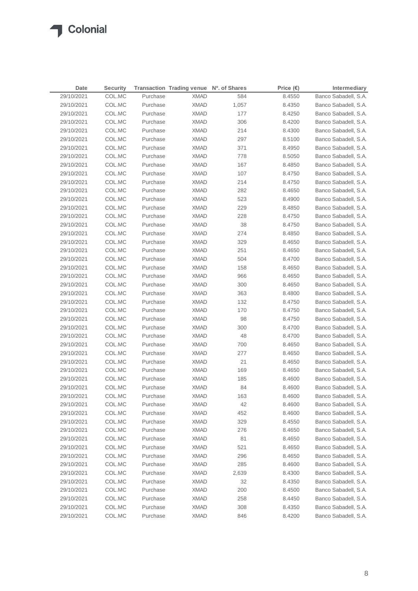| Date       | <b>Security</b> |          | Transaction Trading venue Nº. of Shares |       | Price $(\epsilon)$ | Intermediary         |
|------------|-----------------|----------|-----------------------------------------|-------|--------------------|----------------------|
| 29/10/2021 | COL.MC          | Purchase | <b>XMAD</b>                             | 584   | 8.4550             | Banco Sabadell, S.A. |
| 29/10/2021 | COL.MC          | Purchase | <b>XMAD</b>                             | 1,057 | 8.4350             | Banco Sabadell, S.A. |
| 29/10/2021 | COL.MC          | Purchase | <b>XMAD</b>                             | 177   | 8.4250             | Banco Sabadell, S.A. |
| 29/10/2021 | COL.MC          | Purchase | <b>XMAD</b>                             | 306   | 8.4200             | Banco Sabadell, S.A. |
| 29/10/2021 | COL.MC          | Purchase | <b>XMAD</b>                             | 214   | 8.4300             | Banco Sabadell, S.A. |
| 29/10/2021 | COL.MC          | Purchase | <b>XMAD</b>                             | 297   | 8.5100             | Banco Sabadell, S.A. |
| 29/10/2021 | COL.MC          | Purchase | <b>XMAD</b>                             | 371   | 8.4950             | Banco Sabadell, S.A. |
| 29/10/2021 | COL.MC          | Purchase | <b>XMAD</b>                             | 778   | 8.5050             | Banco Sabadell, S.A. |
| 29/10/2021 | COL.MC          | Purchase | <b>XMAD</b>                             | 167   | 8.4850             | Banco Sabadell, S.A. |
| 29/10/2021 | COL.MC          | Purchase | <b>XMAD</b>                             | 107   | 8.4750             | Banco Sabadell, S.A. |
| 29/10/2021 | COL.MC          | Purchase | <b>XMAD</b>                             | 214   | 8.4750             | Banco Sabadell, S.A. |
| 29/10/2021 | COL.MC          | Purchase | <b>XMAD</b>                             | 282   | 8.4650             | Banco Sabadell, S.A. |
| 29/10/2021 | COL.MC          | Purchase | <b>XMAD</b>                             | 523   | 8.4900             | Banco Sabadell, S.A. |
| 29/10/2021 | COL.MC          | Purchase | <b>XMAD</b>                             | 229   | 8.4850             | Banco Sabadell, S.A. |
| 29/10/2021 | COL.MC          | Purchase | <b>XMAD</b>                             | 228   | 8.4750             | Banco Sabadell, S.A. |
| 29/10/2021 | COL.MC          | Purchase | <b>XMAD</b>                             | 38    | 8.4750             | Banco Sabadell, S.A. |
| 29/10/2021 | COL.MC          | Purchase | <b>XMAD</b>                             | 274   | 8.4850             | Banco Sabadell, S.A. |
| 29/10/2021 | COL.MC          | Purchase | <b>XMAD</b>                             | 329   | 8.4650             | Banco Sabadell, S.A. |
| 29/10/2021 | COL.MC          | Purchase | <b>XMAD</b>                             | 251   | 8.4650             | Banco Sabadell, S.A. |
| 29/10/2021 | COL.MC          | Purchase | <b>XMAD</b>                             | 504   | 8.4700             | Banco Sabadell, S.A. |
| 29/10/2021 | COL.MC          | Purchase | <b>XMAD</b>                             | 158   | 8.4650             | Banco Sabadell, S.A. |
| 29/10/2021 | COL.MC          | Purchase | <b>XMAD</b>                             | 966   | 8.4650             | Banco Sabadell, S.A. |
| 29/10/2021 | COL.MC          | Purchase | <b>XMAD</b>                             | 300   | 8.4650             | Banco Sabadell, S.A. |
| 29/10/2021 | COL.MC          | Purchase | <b>XMAD</b>                             | 363   | 8.4800             | Banco Sabadell, S.A. |
| 29/10/2021 | COL.MC          | Purchase | <b>XMAD</b>                             | 132   | 8.4750             | Banco Sabadell, S.A. |
| 29/10/2021 | COL.MC          | Purchase | XMAD                                    | 170   | 8.4750             | Banco Sabadell, S.A. |
| 29/10/2021 | COL.MC          | Purchase | XMAD                                    | 98    | 8.4750             | Banco Sabadell, S.A. |
| 29/10/2021 | COL.MC          | Purchase | <b>XMAD</b>                             | 300   | 8.4700             | Banco Sabadell, S.A. |
| 29/10/2021 | COL.MC          | Purchase | XMAD                                    | 48    | 8.4700             | Banco Sabadell, S.A. |
| 29/10/2021 | COL.MC          | Purchase | XMAD                                    | 700   | 8.4650             | Banco Sabadell, S.A. |
| 29/10/2021 | COL.MC          | Purchase | XMAD                                    | 277   | 8.4650             | Banco Sabadell, S.A. |
| 29/10/2021 | COL.MC          | Purchase | XMAD                                    | 21    | 8.4650             | Banco Sabadell, S.A. |
| 29/10/2021 | COL.MC          | Purchase | XMAD                                    | 169   | 8.4650             | Banco Sabadell, S.A. |
| 29/10/2021 | COL.MC          | Purchase | XMAD                                    | 185   | 8.4600             | Banco Sabadell, S.A. |
| 29/10/2021 | COL.MC          | Purchase | <b>XMAD</b>                             | 84    | 8.4600             | Banco Sabadell, S.A. |
| 29/10/2021 | COL.MC          | Purchase | <b>XMAD</b>                             | 163   | 8.4600             | Banco Sabadell, S.A. |
| 29/10/2021 | COL.MC          | Purchase | <b>XMAD</b>                             | 42    | 8.4600             | Banco Sabadell, S.A. |
| 29/10/2021 | COL.MC          | Purchase | <b>XMAD</b>                             | 452   | 8.4600             | Banco Sabadell, S.A. |
| 29/10/2021 | COL.MC          | Purchase | <b>XMAD</b>                             | 329   | 8.4550             | Banco Sabadell, S.A. |
| 29/10/2021 | COL.MC          | Purchase | <b>XMAD</b>                             | 276   | 8.4650             | Banco Sabadell, S.A. |
| 29/10/2021 | COL.MC          | Purchase | <b>XMAD</b>                             | 81    | 8.4650             | Banco Sabadell, S.A. |
| 29/10/2021 | COL.MC          | Purchase | <b>XMAD</b>                             | 521   | 8.4650             | Banco Sabadell, S.A. |
| 29/10/2021 | COL.MC          | Purchase | <b>XMAD</b>                             | 296   | 8.4650             | Banco Sabadell, S.A. |
| 29/10/2021 | COL.MC          | Purchase | <b>XMAD</b>                             | 285   | 8.4600             | Banco Sabadell, S.A. |
| 29/10/2021 | COL.MC          | Purchase | <b>XMAD</b>                             | 2,639 | 8.4300             | Banco Sabadell, S.A. |
| 29/10/2021 | COL.MC          | Purchase | <b>XMAD</b>                             | 32    | 8.4350             | Banco Sabadell, S.A. |
| 29/10/2021 | COL.MC          | Purchase | <b>XMAD</b>                             | 200   | 8.4500             | Banco Sabadell, S.A. |
| 29/10/2021 | COL.MC          | Purchase | XMAD                                    | 258   | 8.4450             | Banco Sabadell, S.A. |
| 29/10/2021 | COL.MC          | Purchase | <b>XMAD</b>                             | 308   | 8.4350             | Banco Sabadell, S.A. |
| 29/10/2021 | COL.MC          | Purchase | XMAD                                    | 846   | 8.4200             | Banco Sabadell, S.A. |
|            |                 |          |                                         |       |                    |                      |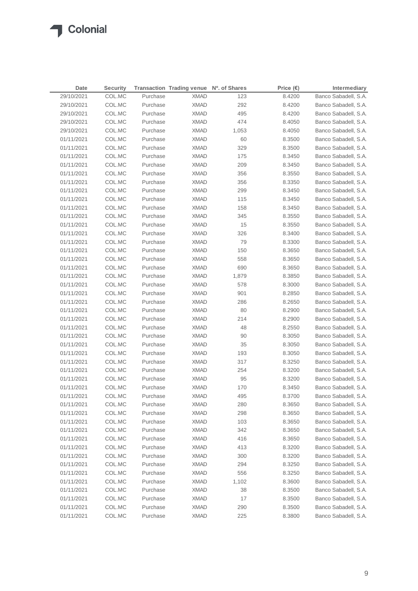### **T** Colonial

| Date       | <b>Security</b> |          | Transaction Trading venue Nº. of Shares |       | Price $(\epsilon)$ | Intermediary         |
|------------|-----------------|----------|-----------------------------------------|-------|--------------------|----------------------|
| 29/10/2021 | COL.MC          | Purchase | <b>XMAD</b>                             | 123   | 8.4200             | Banco Sabadell, S.A. |
| 29/10/2021 | COL.MC          | Purchase | <b>XMAD</b>                             | 292   | 8.4200             | Banco Sabadell, S.A. |
| 29/10/2021 | COL.MC          | Purchase | <b>XMAD</b>                             | 495   | 8.4200             | Banco Sabadell, S.A. |
| 29/10/2021 | COL.MC          | Purchase | <b>XMAD</b>                             | 474   | 8.4050             | Banco Sabadell, S.A. |
| 29/10/2021 | COL.MC          | Purchase | <b>XMAD</b>                             | 1,053 | 8.4050             | Banco Sabadell, S.A. |
| 01/11/2021 | COL.MC          | Purchase | <b>XMAD</b>                             | 60    | 8.3500             | Banco Sabadell, S.A. |
| 01/11/2021 | COL.MC          | Purchase | <b>XMAD</b>                             | 329   | 8.3500             | Banco Sabadell, S.A. |
| 01/11/2021 | COL.MC          | Purchase | <b>XMAD</b>                             | 175   | 8.3450             | Banco Sabadell, S.A. |
| 01/11/2021 | COL.MC          | Purchase | <b>XMAD</b>                             | 209   | 8.3450             | Banco Sabadell, S.A. |
| 01/11/2021 | COL.MC          | Purchase | <b>XMAD</b>                             | 356   | 8.3550             | Banco Sabadell, S.A. |
| 01/11/2021 | COL.MC          | Purchase | <b>XMAD</b>                             | 356   | 8.3350             | Banco Sabadell, S.A. |
| 01/11/2021 | COL.MC          | Purchase | <b>XMAD</b>                             | 299   | 8.3450             | Banco Sabadell, S.A. |
| 01/11/2021 | COL.MC          | Purchase | <b>XMAD</b>                             | 115   | 8.3450             | Banco Sabadell, S.A. |
| 01/11/2021 | COL.MC          | Purchase | <b>XMAD</b>                             | 158   | 8.3450             | Banco Sabadell, S.A. |
| 01/11/2021 | COL.MC          | Purchase | <b>XMAD</b>                             | 345   | 8.3550             | Banco Sabadell, S.A. |
| 01/11/2021 | COL.MC          | Purchase | <b>XMAD</b>                             | 15    | 8.3550             | Banco Sabadell, S.A. |
| 01/11/2021 | COL.MC          | Purchase | <b>XMAD</b>                             | 326   | 8.3400             | Banco Sabadell, S.A. |
| 01/11/2021 | COL.MC          | Purchase | <b>XMAD</b>                             | 79    | 8.3300             | Banco Sabadell, S.A. |
| 01/11/2021 | COL.MC          | Purchase | <b>XMAD</b>                             | 150   | 8.3650             | Banco Sabadell, S.A. |
| 01/11/2021 | COL.MC          | Purchase | <b>XMAD</b>                             | 558   | 8.3650             | Banco Sabadell, S.A. |
| 01/11/2021 | COL.MC          | Purchase | <b>XMAD</b>                             | 690   | 8.3650             | Banco Sabadell, S.A. |
| 01/11/2021 | COL.MC          | Purchase | <b>XMAD</b>                             | 1,879 | 8.3850             | Banco Sabadell, S.A. |
| 01/11/2021 | COL.MC          | Purchase | <b>XMAD</b>                             | 578   | 8.3000             | Banco Sabadell, S.A. |
| 01/11/2021 | COL.MC          | Purchase | <b>XMAD</b>                             | 901   | 8.2850             | Banco Sabadell, S.A. |
| 01/11/2021 | COL.MC          | Purchase | <b>XMAD</b>                             | 286   | 8.2650             | Banco Sabadell, S.A. |
| 01/11/2021 | COL.MC          | Purchase | <b>XMAD</b>                             | 80    | 8.2900             | Banco Sabadell, S.A. |
| 01/11/2021 | COL.MC          | Purchase | <b>XMAD</b>                             | 214   | 8.2900             | Banco Sabadell, S.A. |
| 01/11/2021 | COL.MC          | Purchase | <b>XMAD</b>                             | 48    | 8.2550             | Banco Sabadell, S.A. |
| 01/11/2021 | COL.MC          | Purchase | <b>XMAD</b>                             | 90    | 8.3050             | Banco Sabadell, S.A. |
| 01/11/2021 | COL.MC          | Purchase | XMAD                                    | 35    | 8.3050             | Banco Sabadell, S.A. |
| 01/11/2021 | COL.MC          | Purchase | XMAD                                    | 193   | 8.3050             | Banco Sabadell, S.A. |
| 01/11/2021 | COL.MC          | Purchase | XMAD                                    | 317   | 8.3250             | Banco Sabadell, S.A. |
| 01/11/2021 | COL.MC          | Purchase | <b>XMAD</b>                             | 254   | 8.3200             | Banco Sabadell, S.A. |
| 01/11/2021 | COL.MC          | Purchase | XMAD                                    | 95    | 8.3200             | Banco Sabadell, S.A. |
| 01/11/2021 | COL.MC          | Purchase | <b>XMAD</b>                             | 170   | 8.3450             | Banco Sabadell, S.A. |
| 01/11/2021 | COL.MC          | Purchase | <b>XMAD</b>                             | 495   | 8.3700             | Banco Sabadell, S.A. |
| 01/11/2021 | COL.MC          | Purchase | <b>XMAD</b>                             | 280   | 8.3650             | Banco Sabadell, S.A. |
| 01/11/2021 | COL.MC          | Purchase | <b>XMAD</b>                             | 298   | 8.3650             | Banco Sabadell, S.A. |
| 01/11/2021 | COL.MC          | Purchase | <b>XMAD</b>                             | 103   | 8.3650             | Banco Sabadell, S.A. |
| 01/11/2021 | COL.MC          | Purchase | <b>XMAD</b>                             | 342   | 8.3650             | Banco Sabadell, S.A. |
| 01/11/2021 | COL.MC          | Purchase | <b>XMAD</b>                             | 416   | 8.3650             | Banco Sabadell, S.A. |
| 01/11/2021 | COL.MC          | Purchase | <b>XMAD</b>                             | 413   | 8.3200             | Banco Sabadell, S.A. |
| 01/11/2021 | COL.MC          | Purchase | <b>XMAD</b>                             | 300   | 8.3200             | Banco Sabadell, S.A. |
| 01/11/2021 | COL.MC          | Purchase | <b>XMAD</b>                             | 294   | 8.3250             | Banco Sabadell, S.A. |
| 01/11/2021 | COL.MC          | Purchase | <b>XMAD</b>                             | 556   | 8.3250             | Banco Sabadell, S.A. |
| 01/11/2021 | COL.MC          | Purchase | <b>XMAD</b>                             | 1,102 | 8.3600             | Banco Sabadell, S.A. |
| 01/11/2021 | COL.MC          | Purchase | <b>XMAD</b>                             | 38    | 8.3500             | Banco Sabadell, S.A. |
| 01/11/2021 | COL.MC          | Purchase | <b>XMAD</b>                             | 17    | 8.3500             | Banco Sabadell, S.A. |
| 01/11/2021 | COL.MC          | Purchase | <b>XMAD</b>                             | 290   | 8.3500             | Banco Sabadell, S.A. |
| 01/11/2021 | COL.MC          | Purchase | <b>XMAD</b>                             | 225   | 8.3800             | Banco Sabadell, S.A. |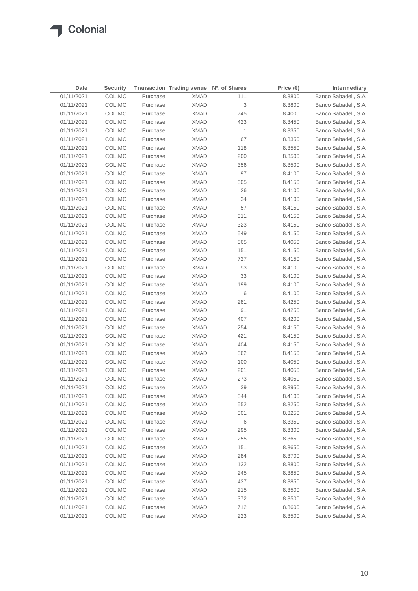| Date       | <b>Security</b> |          | Transaction Trading venue Nº. of Shares |              | Price $(\epsilon)$ | Intermediary         |
|------------|-----------------|----------|-----------------------------------------|--------------|--------------------|----------------------|
| 01/11/2021 | COL.MC          | Purchase | <b>XMAD</b>                             | 111          | 8.3800             | Banco Sabadell, S.A. |
| 01/11/2021 | COL.MC          | Purchase | <b>XMAD</b>                             | 3            | 8.3800             | Banco Sabadell, S.A. |
| 01/11/2021 | COL.MC          | Purchase | <b>XMAD</b>                             | 745          | 8.4000             | Banco Sabadell, S.A. |
| 01/11/2021 | COL.MC          | Purchase | <b>XMAD</b>                             | 423          | 8.3450             | Banco Sabadell, S.A. |
| 01/11/2021 | COL.MC          | Purchase | <b>XMAD</b>                             | $\mathbf{1}$ | 8.3350             | Banco Sabadell, S.A. |
| 01/11/2021 | COL.MC          | Purchase | <b>XMAD</b>                             | 67           | 8.3350             | Banco Sabadell, S.A. |
| 01/11/2021 | COL.MC          | Purchase | <b>XMAD</b>                             | 118          | 8.3550             | Banco Sabadell, S.A. |
| 01/11/2021 | COL.MC          | Purchase | <b>XMAD</b>                             | 200          | 8.3500             | Banco Sabadell, S.A. |
| 01/11/2021 | COL.MC          | Purchase | <b>XMAD</b>                             | 356          | 8.3500             | Banco Sabadell, S.A. |
| 01/11/2021 | COL.MC          | Purchase | <b>XMAD</b>                             | 97           | 8.4100             | Banco Sabadell, S.A. |
| 01/11/2021 | COL.MC          | Purchase | <b>XMAD</b>                             | 305          | 8.4150             | Banco Sabadell, S.A. |
| 01/11/2021 | COL.MC          | Purchase | <b>XMAD</b>                             | 26           | 8.4100             | Banco Sabadell, S.A. |
| 01/11/2021 | COL.MC          | Purchase | <b>XMAD</b>                             | 34           | 8.4100             | Banco Sabadell, S.A. |
| 01/11/2021 | COL.MC          | Purchase | <b>XMAD</b>                             | 57           | 8.4150             | Banco Sabadell, S.A. |
| 01/11/2021 | COL.MC          | Purchase | <b>XMAD</b>                             | 311          | 8.4150             | Banco Sabadell, S.A. |
| 01/11/2021 | COL.MC          | Purchase | <b>XMAD</b>                             | 323          | 8.4150             | Banco Sabadell, S.A. |
| 01/11/2021 | COL.MC          | Purchase | <b>XMAD</b>                             | 549          | 8.4150             | Banco Sabadell, S.A. |
| 01/11/2021 | COL.MC          | Purchase | <b>XMAD</b>                             | 865          | 8.4050             | Banco Sabadell, S.A. |
| 01/11/2021 | COL.MC          | Purchase | <b>XMAD</b>                             | 151          | 8.4150             | Banco Sabadell, S.A. |
| 01/11/2021 | COL.MC          | Purchase | <b>XMAD</b>                             | 727          | 8.4150             | Banco Sabadell, S.A. |
| 01/11/2021 | COL.MC          | Purchase | <b>XMAD</b>                             | 93           | 8.4100             | Banco Sabadell, S.A. |
| 01/11/2021 | COL.MC          | Purchase | <b>XMAD</b>                             | 33           | 8.4100             | Banco Sabadell, S.A. |
| 01/11/2021 | COL.MC          | Purchase | <b>XMAD</b>                             | 199          | 8.4100             | Banco Sabadell, S.A. |
| 01/11/2021 | COL.MC          | Purchase | <b>XMAD</b>                             | 6            | 8.4100             | Banco Sabadell, S.A. |
| 01/11/2021 | COL.MC          | Purchase | <b>XMAD</b>                             | 281          | 8.4250             | Banco Sabadell, S.A. |
| 01/11/2021 | COL.MC          | Purchase | <b>XMAD</b>                             | 91           | 8.4250             | Banco Sabadell, S.A. |
| 01/11/2021 | COL.MC          | Purchase | <b>XMAD</b>                             | 407          | 8.4200             | Banco Sabadell, S.A. |
| 01/11/2021 | COL.MC          | Purchase | <b>XMAD</b>                             | 254          | 8.4150             | Banco Sabadell, S.A. |
| 01/11/2021 | COL.MC          | Purchase | <b>XMAD</b>                             | 421          | 8.4150             | Banco Sabadell, S.A. |
| 01/11/2021 | COL.MC          | Purchase | XMAD                                    | 404          | 8.4150             | Banco Sabadell, S.A. |
| 01/11/2021 | COL.MC          | Purchase | <b>XMAD</b>                             | 362          | 8.4150             | Banco Sabadell, S.A. |
| 01/11/2021 | COL.MC          | Purchase | XMAD                                    | 100          | 8.4050             | Banco Sabadell, S.A. |
| 01/11/2021 | COL.MC          | Purchase | <b>XMAD</b>                             | 201          | 8.4050             | Banco Sabadell, S.A. |
| 01/11/2021 | COL.MC          | Purchase | XMAD                                    | 273          | 8.4050             | Banco Sabadell, S.A. |
| 01/11/2021 | COL.MC          | Purchase | <b>XMAD</b>                             | 39           | 8.3950             | Banco Sabadell, S.A. |
| 01/11/2021 | COL.MC          | Purchase | <b>XMAD</b>                             | 344          | 8.4100             | Banco Sabadell, S.A. |
| 01/11/2021 | COL.MC          | Purchase | <b>XMAD</b>                             | 552          | 8.3250             | Banco Sabadell, S.A. |
| 01/11/2021 | COL.MC          | Purchase | <b>XMAD</b>                             | 301          | 8.3250             | Banco Sabadell, S.A. |
| 01/11/2021 | COL.MC          | Purchase | <b>XMAD</b>                             | 6            | 8.3350             | Banco Sabadell, S.A. |
| 01/11/2021 | COL.MC          | Purchase | <b>XMAD</b>                             | 295          | 8.3300             | Banco Sabadell, S.A. |
| 01/11/2021 | COL.MC          | Purchase | <b>XMAD</b>                             | 255          | 8.3650             | Banco Sabadell, S.A. |
| 01/11/2021 | COL.MC          | Purchase | <b>XMAD</b>                             | 151          | 8.3650             | Banco Sabadell, S.A. |
| 01/11/2021 | COL.MC          | Purchase | <b>XMAD</b>                             | 284          | 8.3700             | Banco Sabadell, S.A. |
| 01/11/2021 | COL.MC          | Purchase | <b>XMAD</b>                             | 132          | 8.3800             | Banco Sabadell, S.A. |
| 01/11/2021 | COL.MC          | Purchase | <b>XMAD</b>                             | 245          | 8.3850             | Banco Sabadell, S.A. |
| 01/11/2021 | COL.MC          | Purchase | <b>XMAD</b>                             | 437          | 8.3850             | Banco Sabadell, S.A. |
| 01/11/2021 | COL.MC          | Purchase | <b>XMAD</b>                             | 215          | 8.3500             | Banco Sabadell, S.A. |
| 01/11/2021 | COL.MC          | Purchase | <b>XMAD</b>                             | 372          | 8.3500             | Banco Sabadell, S.A. |
| 01/11/2021 | COL.MC          | Purchase | <b>XMAD</b>                             | 712          | 8.3600             | Banco Sabadell, S.A. |
| 01/11/2021 | COL.MC          | Purchase | <b>XMAD</b>                             | 223          | 8.3500             | Banco Sabadell, S.A. |
|            |                 |          |                                         |              |                    |                      |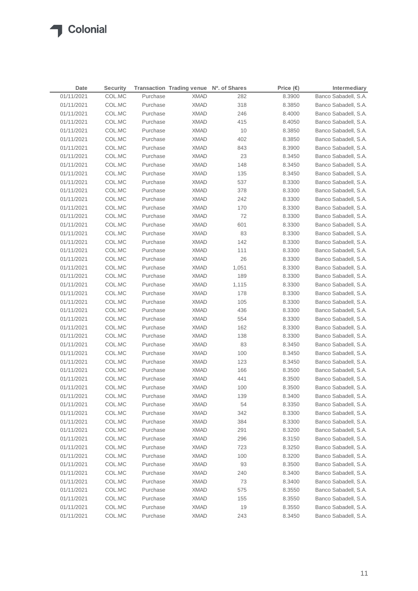## **T** Colonial

| Date       | <b>Security</b> |          | Transaction Trading venue Nº. of Shares |       | Price $(\epsilon)$ | Intermediary         |
|------------|-----------------|----------|-----------------------------------------|-------|--------------------|----------------------|
| 01/11/2021 | COL.MC          | Purchase | <b>XMAD</b>                             | 282   | 8.3900             | Banco Sabadell, S.A. |
| 01/11/2021 | COL.MC          | Purchase | <b>XMAD</b>                             | 318   | 8.3850             | Banco Sabadell, S.A. |
| 01/11/2021 | COL.MC          | Purchase | <b>XMAD</b>                             | 246   | 8.4000             | Banco Sabadell, S.A. |
| 01/11/2021 | COL.MC          | Purchase | <b>XMAD</b>                             | 415   | 8.4050             | Banco Sabadell, S.A. |
| 01/11/2021 | COL.MC          | Purchase | <b>XMAD</b>                             | 10    | 8.3850             | Banco Sabadell, S.A. |
| 01/11/2021 | COL.MC          | Purchase | <b>XMAD</b>                             | 402   | 8.3850             | Banco Sabadell, S.A. |
| 01/11/2021 | COL.MC          | Purchase | <b>XMAD</b>                             | 843   | 8.3900             | Banco Sabadell, S.A. |
| 01/11/2021 | COL.MC          | Purchase | <b>XMAD</b>                             | 23    | 8.3450             | Banco Sabadell, S.A. |
| 01/11/2021 | COL.MC          | Purchase | <b>XMAD</b>                             | 148   | 8.3450             | Banco Sabadell, S.A. |
| 01/11/2021 | COL.MC          | Purchase | <b>XMAD</b>                             | 135   | 8.3450             | Banco Sabadell, S.A. |
| 01/11/2021 | COL.MC          | Purchase | <b>XMAD</b>                             | 537   | 8.3300             | Banco Sabadell, S.A. |
| 01/11/2021 | COL.MC          | Purchase | <b>XMAD</b>                             | 378   | 8.3300             | Banco Sabadell, S.A. |
| 01/11/2021 | COL.MC          | Purchase | <b>XMAD</b>                             | 242   | 8.3300             | Banco Sabadell, S.A. |
| 01/11/2021 | COL.MC          | Purchase | <b>XMAD</b>                             | 170   | 8.3300             | Banco Sabadell, S.A. |
| 01/11/2021 | COL.MC          | Purchase | <b>XMAD</b>                             | 72    | 8.3300             | Banco Sabadell, S.A. |
| 01/11/2021 | COL.MC          | Purchase | <b>XMAD</b>                             | 601   | 8.3300             | Banco Sabadell, S.A. |
| 01/11/2021 | COL.MC          | Purchase | <b>XMAD</b>                             | 83    | 8.3300             | Banco Sabadell, S.A. |
| 01/11/2021 | COL.MC          | Purchase | <b>XMAD</b>                             | 142   | 8.3300             | Banco Sabadell, S.A. |
| 01/11/2021 | COL.MC          | Purchase | <b>XMAD</b>                             | 111   | 8.3300             | Banco Sabadell, S.A. |
| 01/11/2021 | COL.MC          | Purchase | <b>XMAD</b>                             | 26    | 8.3300             | Banco Sabadell, S.A. |
| 01/11/2021 | COL.MC          | Purchase | <b>XMAD</b>                             | 1,051 | 8.3300             | Banco Sabadell, S.A. |
| 01/11/2021 | COL.MC          | Purchase | <b>XMAD</b>                             | 189   | 8.3300             | Banco Sabadell, S.A. |
| 01/11/2021 | COL.MC          | Purchase | <b>XMAD</b>                             | 1,115 | 8.3300             | Banco Sabadell, S.A. |
| 01/11/2021 | COL.MC          | Purchase | <b>XMAD</b>                             | 178   | 8.3300             | Banco Sabadell, S.A. |
| 01/11/2021 | COL.MC          | Purchase | <b>XMAD</b>                             | 105   | 8.3300             | Banco Sabadell, S.A. |
| 01/11/2021 | COL.MC          | Purchase | <b>XMAD</b>                             | 436   | 8.3300             | Banco Sabadell, S.A. |
| 01/11/2021 | COL.MC          | Purchase | <b>XMAD</b>                             | 554   | 8.3300             | Banco Sabadell, S.A. |
| 01/11/2021 | COL.MC          | Purchase | XMAD                                    | 162   | 8.3300             | Banco Sabadell, S.A. |
| 01/11/2021 | COL.MC          | Purchase | <b>XMAD</b>                             | 138   | 8.3300             | Banco Sabadell, S.A. |
| 01/11/2021 | COL.MC          | Purchase | XMAD                                    | 83    | 8.3450             | Banco Sabadell, S.A. |
| 01/11/2021 | COL.MC          | Purchase | XMAD                                    | 100   | 8.3450             | Banco Sabadell, S.A. |
| 01/11/2021 | COL.MC          | Purchase | XMAD                                    | 123   | 8.3450             | Banco Sabadell, S.A. |
| 01/11/2021 | COL.MC          | Purchase | XMAD                                    | 166   | 8.3500             | Banco Sabadell, S.A. |
| 01/11/2021 | COL.MC          | Purchase | XMAD                                    | 441   | 8.3500             | Banco Sabadell, S.A. |
| 01/11/2021 | COL.MC          | Purchase | <b>XMAD</b>                             | 100   | 8.3500             | Banco Sabadell, S.A. |
| 01/11/2021 | COL.MC          | Purchase | <b>XMAD</b>                             | 139   | 8.3400             | Banco Sabadell, S.A. |
| 01/11/2021 | COL.MC          | Purchase | <b>XMAD</b>                             | 54    | 8.3350             | Banco Sabadell, S.A. |
| 01/11/2021 | COL.MC          | Purchase | <b>XMAD</b>                             | 342   | 8.3300             | Banco Sabadell, S.A. |
| 01/11/2021 | COL.MC          | Purchase | <b>XMAD</b>                             | 384   | 8.3300             | Banco Sabadell, S.A. |
| 01/11/2021 | COL.MC          | Purchase | <b>XMAD</b>                             | 291   | 8.3200             | Banco Sabadell, S.A. |
| 01/11/2021 | COL.MC          | Purchase | <b>XMAD</b>                             | 296   | 8.3150             | Banco Sabadell, S.A. |
| 01/11/2021 | COL.MC          | Purchase | <b>XMAD</b>                             | 723   | 8.3250             | Banco Sabadell, S.A. |
| 01/11/2021 | COL.MC          | Purchase | <b>XMAD</b>                             | 100   | 8.3200             | Banco Sabadell, S.A. |
| 01/11/2021 | COL.MC          | Purchase | <b>XMAD</b>                             | 93    | 8.3500             | Banco Sabadell, S.A. |
| 01/11/2021 | COL.MC          | Purchase | <b>XMAD</b>                             | 240   | 8.3400             | Banco Sabadell, S.A. |
| 01/11/2021 | COL.MC          | Purchase | <b>XMAD</b>                             | 73    | 8.3400             | Banco Sabadell, S.A. |
| 01/11/2021 | COL.MC          | Purchase | <b>XMAD</b>                             | 575   | 8.3550             | Banco Sabadell, S.A. |
| 01/11/2021 | COL.MC          | Purchase | <b>XMAD</b>                             | 155   | 8.3550             | Banco Sabadell, S.A. |
| 01/11/2021 | COL.MC          | Purchase | <b>XMAD</b>                             | 19    | 8.3550             | Banco Sabadell, S.A. |
| 01/11/2021 | COL.MC          | Purchase | <b>XMAD</b>                             | 243   | 8.3450             | Banco Sabadell, S.A. |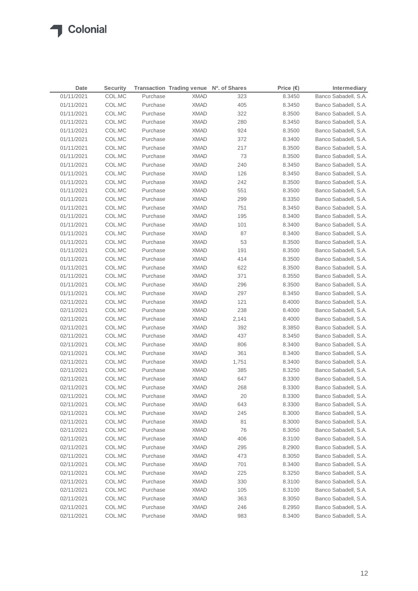$\sqrt{2}$ 

| Date       | <b>Security</b> |          | Transaction Trading venue Nº. of Shares |       | Price $(\epsilon)$ | Intermediary         |
|------------|-----------------|----------|-----------------------------------------|-------|--------------------|----------------------|
| 01/11/2021 | COL.MC          | Purchase | <b>XMAD</b>                             | 323   | 8.3450             | Banco Sabadell, S.A. |
| 01/11/2021 | COL.MC          | Purchase | <b>XMAD</b>                             | 405   | 8.3450             | Banco Sabadell, S.A. |
| 01/11/2021 | COL.MC          | Purchase | <b>XMAD</b>                             | 322   | 8.3500             | Banco Sabadell, S.A. |
| 01/11/2021 | COL.MC          | Purchase | <b>XMAD</b>                             | 280   | 8.3450             | Banco Sabadell, S.A. |
| 01/11/2021 | COL.MC          | Purchase | <b>XMAD</b>                             | 924   | 8.3500             | Banco Sabadell, S.A. |
| 01/11/2021 | COL.MC          | Purchase | <b>XMAD</b>                             | 372   | 8.3400             | Banco Sabadell, S.A. |
| 01/11/2021 | COL.MC          | Purchase | <b>XMAD</b>                             | 217   | 8.3500             | Banco Sabadell, S.A. |
| 01/11/2021 | COL.MC          | Purchase | <b>XMAD</b>                             | 73    | 8.3500             | Banco Sabadell, S.A. |
| 01/11/2021 | COL.MC          | Purchase | <b>XMAD</b>                             | 240   | 8.3450             | Banco Sabadell, S.A. |
| 01/11/2021 | COL.MC          | Purchase | <b>XMAD</b>                             | 126   | 8.3450             | Banco Sabadell, S.A. |
| 01/11/2021 | COL.MC          | Purchase | <b>XMAD</b>                             | 242   | 8.3500             | Banco Sabadell, S.A. |
| 01/11/2021 | COL.MC          | Purchase | <b>XMAD</b>                             | 551   | 8.3500             | Banco Sabadell, S.A. |
| 01/11/2021 | COL.MC          | Purchase | <b>XMAD</b>                             | 299   | 8.3350             | Banco Sabadell, S.A. |
| 01/11/2021 | COL.MC          | Purchase | <b>XMAD</b>                             | 751   | 8.3450             | Banco Sabadell, S.A. |
| 01/11/2021 | COL.MC          | Purchase | <b>XMAD</b>                             | 195   | 8.3400             | Banco Sabadell, S.A. |
| 01/11/2021 | COL.MC          | Purchase | <b>XMAD</b>                             | 101   | 8.3400             | Banco Sabadell, S.A. |
| 01/11/2021 | COL.MC          | Purchase | <b>XMAD</b>                             | 87    | 8.3400             | Banco Sabadell, S.A. |
| 01/11/2021 | COL.MC          | Purchase | <b>XMAD</b>                             | 53    | 8.3500             | Banco Sabadell, S.A. |
| 01/11/2021 | COL.MC          | Purchase | <b>XMAD</b>                             | 191   | 8.3500             | Banco Sabadell, S.A. |
| 01/11/2021 | COL.MC          | Purchase | <b>XMAD</b>                             | 414   | 8.3500             | Banco Sabadell, S.A. |
| 01/11/2021 | COL.MC          | Purchase | <b>XMAD</b>                             | 622   | 8.3500             | Banco Sabadell, S.A. |
| 01/11/2021 | COL.MC          | Purchase | <b>XMAD</b>                             | 371   | 8.3550             | Banco Sabadell, S.A. |
| 01/11/2021 | COL.MC          | Purchase | <b>XMAD</b>                             | 296   | 8.3500             | Banco Sabadell, S.A. |
| 01/11/2021 | COL.MC          | Purchase | <b>XMAD</b>                             | 297   | 8.3450             | Banco Sabadell, S.A. |
| 02/11/2021 | COL.MC          | Purchase | <b>XMAD</b>                             | 121   | 8.4000             | Banco Sabadell, S.A. |
| 02/11/2021 | COL.MC          | Purchase | <b>XMAD</b>                             | 238   | 8.4000             | Banco Sabadell, S.A. |
| 02/11/2021 | COL.MC          | Purchase | <b>XMAD</b>                             | 2,141 | 8.4000             | Banco Sabadell, S.A. |
| 02/11/2021 | COL.MC          | Purchase | XMAD                                    | 392   | 8.3850             | Banco Sabadell, S.A. |
| 02/11/2021 | COL.MC          | Purchase | <b>XMAD</b>                             | 437   | 8.3450             | Banco Sabadell, S.A. |
| 02/11/2021 | COL.MC          | Purchase | XMAD                                    | 806   | 8.3400             | Banco Sabadell, S.A. |
| 02/11/2021 | COL.MC          | Purchase | XMAD                                    | 361   | 8.3400             | Banco Sabadell, S.A. |
| 02/11/2021 | COL.MC          | Purchase | XMAD                                    | 1,751 | 8.3400             | Banco Sabadell, S.A. |
| 02/11/2021 | COL.MC          | Purchase | XMAD                                    | 385   | 8.3250             | Banco Sabadell, S.A. |
| 02/11/2021 | COL.MC          | Purchase | <b>XMAD</b>                             | 647   | 8.3300             | Banco Sabadell, S.A. |
| 02/11/2021 | COL.MC          | Purchase | <b>XMAD</b>                             | 268   | 8.3300             | Banco Sabadell, S.A. |
| 02/11/2021 | COL.MC          | Purchase | <b>XMAD</b>                             | 20    | 8.3300             | Banco Sabadell, S.A. |
| 02/11/2021 | COL.MC          | Purchase | <b>XMAD</b>                             | 643   | 8.3300             | Banco Sabadell, S.A. |
| 02/11/2021 | COL.MC          | Purchase | <b>XMAD</b>                             | 245   | 8.3000             | Banco Sabadell, S.A. |
| 02/11/2021 | COL.MC          | Purchase | <b>XMAD</b>                             | 81    | 8.3000             | Banco Sabadell, S.A. |
| 02/11/2021 | COL.MC          | Purchase | <b>XMAD</b>                             | 76    | 8.3050             | Banco Sabadell, S.A. |
| 02/11/2021 | COL.MC          | Purchase | <b>XMAD</b>                             | 406   | 8.3100             | Banco Sabadell, S.A. |
| 02/11/2021 | COL.MC          | Purchase | <b>XMAD</b>                             | 295   | 8.2900             | Banco Sabadell, S.A. |
| 02/11/2021 | COL.MC          | Purchase | <b>XMAD</b>                             | 473   | 8.3050             | Banco Sabadell, S.A. |
| 02/11/2021 | COL.MC          | Purchase | <b>XMAD</b>                             | 701   | 8.3400             | Banco Sabadell, S.A. |
| 02/11/2021 | COL.MC          | Purchase | <b>XMAD</b>                             | 225   | 8.3250             | Banco Sabadell, S.A. |
| 02/11/2021 | COL.MC          | Purchase | <b>XMAD</b>                             | 330   | 8.3100             | Banco Sabadell, S.A. |
| 02/11/2021 | COL.MC          | Purchase | <b>XMAD</b>                             | 105   | 8.3100             | Banco Sabadell, S.A. |
| 02/11/2021 | COL.MC          | Purchase | <b>XMAD</b>                             | 363   | 8.3050             | Banco Sabadell, S.A. |
| 02/11/2021 | COL.MC          | Purchase | <b>XMAD</b>                             | 246   | 8.2950             | Banco Sabadell, S.A. |
| 02/11/2021 | COL.MC          | Purchase | <b>XMAD</b>                             | 983   | 8.3400             | Banco Sabadell, S.A. |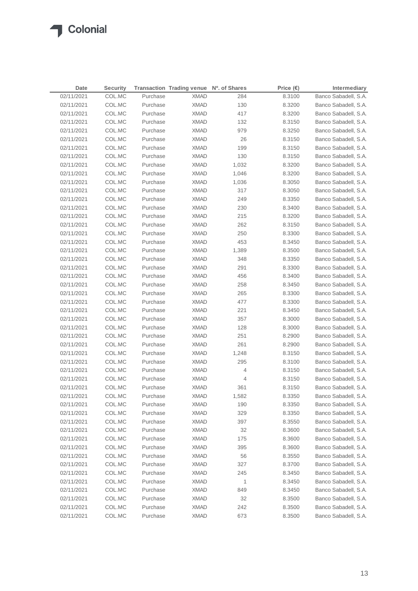$\sqrt{2}$ 

| Date       | <b>Security</b> |          | Transaction Trading venue Nº. of Shares |              | Price $(\epsilon)$ | Intermediary         |
|------------|-----------------|----------|-----------------------------------------|--------------|--------------------|----------------------|
| 02/11/2021 | COL.MC          | Purchase | <b>XMAD</b>                             | 284          | 8.3100             | Banco Sabadell, S.A. |
| 02/11/2021 | COL.MC          | Purchase | <b>XMAD</b>                             | 130          | 8.3200             | Banco Sabadell, S.A. |
| 02/11/2021 | COL.MC          | Purchase | <b>XMAD</b>                             | 417          | 8.3200             | Banco Sabadell, S.A. |
| 02/11/2021 | COL.MC          | Purchase | <b>XMAD</b>                             | 132          | 8.3150             | Banco Sabadell, S.A. |
| 02/11/2021 | COL.MC          | Purchase | <b>XMAD</b>                             | 979          | 8.3250             | Banco Sabadell, S.A. |
| 02/11/2021 | COL.MC          | Purchase | <b>XMAD</b>                             | 26           | 8.3150             | Banco Sabadell, S.A. |
| 02/11/2021 | COL.MC          | Purchase | <b>XMAD</b>                             | 199          | 8.3150             | Banco Sabadell, S.A. |
| 02/11/2021 | COL.MC          | Purchase | <b>XMAD</b>                             | 130          | 8.3150             | Banco Sabadell, S.A. |
| 02/11/2021 | COL.MC          | Purchase | <b>XMAD</b>                             | 1,032        | 8.3200             | Banco Sabadell, S.A. |
| 02/11/2021 | COL.MC          | Purchase | <b>XMAD</b>                             | 1,046        | 8.3200             | Banco Sabadell, S.A. |
| 02/11/2021 | COL.MC          | Purchase | <b>XMAD</b>                             | 1,036        | 8.3050             | Banco Sabadell, S.A. |
| 02/11/2021 | COL.MC          | Purchase | <b>XMAD</b>                             | 317          | 8.3050             | Banco Sabadell, S.A. |
| 02/11/2021 | COL.MC          | Purchase | <b>XMAD</b>                             | 249          | 8.3350             | Banco Sabadell, S.A. |
| 02/11/2021 | COL.MC          | Purchase | <b>XMAD</b>                             | 230          | 8.3400             | Banco Sabadell, S.A. |
| 02/11/2021 | COL.MC          | Purchase | <b>XMAD</b>                             | 215          | 8.3200             | Banco Sabadell, S.A. |
| 02/11/2021 | COL.MC          | Purchase | <b>XMAD</b>                             | 262          | 8.3150             | Banco Sabadell, S.A. |
| 02/11/2021 | COL.MC          | Purchase | <b>XMAD</b>                             | 250          | 8.3300             | Banco Sabadell, S.A. |
| 02/11/2021 | COL.MC          | Purchase | <b>XMAD</b>                             | 453          | 8.3450             | Banco Sabadell, S.A. |
| 02/11/2021 | COL.MC          | Purchase | <b>XMAD</b>                             | 1,389        | 8.3500             | Banco Sabadell, S.A. |
| 02/11/2021 | COL.MC          | Purchase | <b>XMAD</b>                             | 348          | 8.3350             | Banco Sabadell, S.A. |
| 02/11/2021 | COL.MC          | Purchase | <b>XMAD</b>                             | 291          | 8.3300             | Banco Sabadell, S.A. |
| 02/11/2021 | COL.MC          | Purchase | <b>XMAD</b>                             | 456          | 8.3400             | Banco Sabadell, S.A. |
| 02/11/2021 | COL.MC          | Purchase | <b>XMAD</b>                             | 258          | 8.3450             | Banco Sabadell, S.A. |
| 02/11/2021 | COL.MC          | Purchase | <b>XMAD</b>                             | 265          | 8.3300             | Banco Sabadell, S.A. |
| 02/11/2021 | COL.MC          | Purchase | <b>XMAD</b>                             | 477          | 8.3300             | Banco Sabadell, S.A. |
| 02/11/2021 | COL.MC          | Purchase | <b>XMAD</b>                             | 221          | 8.3450             | Banco Sabadell, S.A. |
| 02/11/2021 | COL.MC          | Purchase | <b>XMAD</b>                             | 357          | 8.3000             | Banco Sabadell, S.A. |
| 02/11/2021 | COL.MC          | Purchase | XMAD                                    | 128          | 8.3000             | Banco Sabadell, S.A. |
| 02/11/2021 | COL.MC          | Purchase | <b>XMAD</b>                             | 251          | 8.2900             | Banco Sabadell, S.A. |
| 02/11/2021 | COL.MC          | Purchase | XMAD                                    | 261          | 8.2900             | Banco Sabadell, S.A. |
| 02/11/2021 | COL.MC          | Purchase | XMAD                                    | 1,248        | 8.3150             | Banco Sabadell, S.A. |
| 02/11/2021 | COL.MC          | Purchase | XMAD                                    | 295          | 8.3100             | Banco Sabadell, S.A. |
| 02/11/2021 | COL.MC          | Purchase | XMAD                                    | 4            | 8.3150             | Banco Sabadell, S.A. |
| 02/11/2021 | COL.MC          | Purchase | XMAD                                    | 4            | 8.3150             | Banco Sabadell, S.A. |
| 02/11/2021 | COL.MC          | Purchase | XMAD                                    | 361          | 8.3150             | Banco Sabadell, S.A. |
| 02/11/2021 | COL.MC          | Purchase | <b>XMAD</b>                             | 1,582        | 8.3350             | Banco Sabadell, S.A. |
| 02/11/2021 | COL.MC          | Purchase | <b>XMAD</b>                             | 190          | 8.3350             | Banco Sabadell, S.A. |
| 02/11/2021 | COL.MC          | Purchase | <b>XMAD</b>                             | 329          | 8.3350             | Banco Sabadell, S.A. |
| 02/11/2021 | COL.MC          | Purchase | <b>XMAD</b>                             | 397          | 8.3550             | Banco Sabadell, S.A. |
| 02/11/2021 | COL.MC          | Purchase | <b>XMAD</b>                             | 32           | 8.3600             | Banco Sabadell, S.A. |
| 02/11/2021 | COL.MC          | Purchase | <b>XMAD</b>                             | 175          | 8.3600             | Banco Sabadell, S.A. |
| 02/11/2021 | COL.MC          | Purchase | <b>XMAD</b>                             | 395          | 8.3600             | Banco Sabadell, S.A. |
| 02/11/2021 | COL.MC          | Purchase | <b>XMAD</b>                             | 56           | 8.3550             | Banco Sabadell, S.A. |
| 02/11/2021 | COL.MC          | Purchase | <b>XMAD</b>                             | 327          | 8.3700             | Banco Sabadell, S.A. |
| 02/11/2021 | COL.MC          | Purchase | <b>XMAD</b>                             | 245          | 8.3450             | Banco Sabadell, S.A. |
| 02/11/2021 | COL.MC          | Purchase | <b>XMAD</b>                             | $\mathbf{1}$ | 8.3450             | Banco Sabadell, S.A. |
| 02/11/2021 | COL.MC          | Purchase | <b>XMAD</b>                             | 849          | 8.3450             | Banco Sabadell, S.A. |
| 02/11/2021 | COL.MC          | Purchase | <b>XMAD</b>                             | 32           | 8.3500             | Banco Sabadell, S.A. |
| 02/11/2021 | COL.MC          | Purchase | <b>XMAD</b>                             | 242          | 8.3500             | Banco Sabadell, S.A. |
| 02/11/2021 | COL.MC          | Purchase | <b>XMAD</b>                             | 673          | 8.3500             | Banco Sabadell, S.A. |
|            |                 |          |                                         |              |                    |                      |